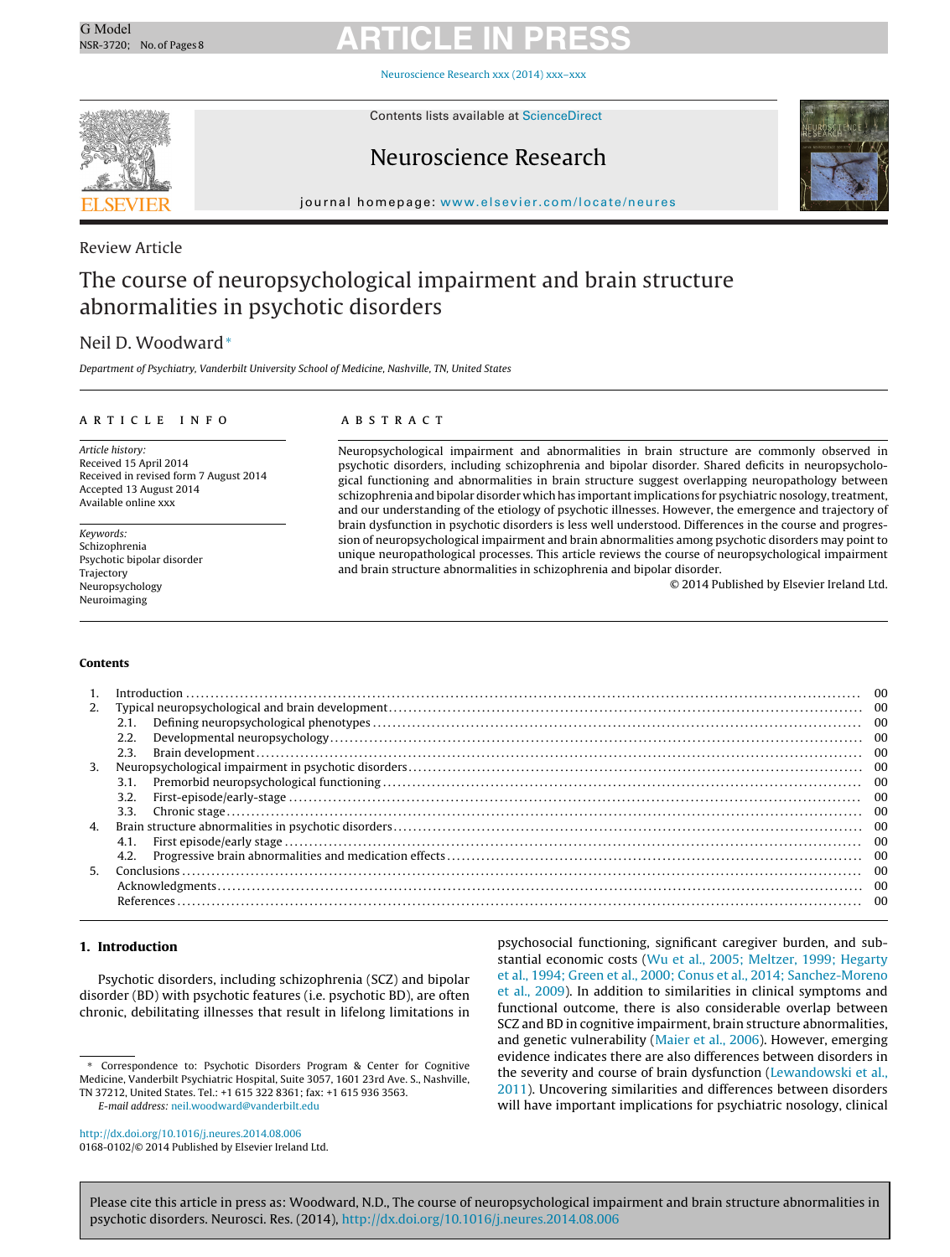[Neuroscience](dx.doi.org/10.1016/j.neures.2014.08.006) Research xxx (2014) xxx–xxx



Contents lists available at [ScienceDirect](http://www.sciencedirect.com/science/journal/01680102)

### Neuroscience Research



iournal homepage: [www.elsevier.com/locate/neures](http://www.elsevier.com/locate/neures)

### Review Article

### The course of neuropsychological impairment and brain structure abnormalities in psychotic disorders

### Neil D. Woodward<sup>∗</sup>

Department of Psychiatry, Vanderbilt University School of Medicine, Nashville, TN, United States

#### ARTICLE INFO

Article history: Received 15 April 2014 Received in revised form 7 August 2014 Accepted 13 August 2014 Available online xxx

Keywords: Schizophrenia Psychotic bipolar disorder Trajectory Neuropsychology Neuroimaging

#### A B S T R A C T

Neuropsychological impairment and abnormalities in brain structure are commonly observed in psychotic disorders, including schizophrenia and bipolar disorder. Shared deficits in neuropsychological functioning and abnormalities in brain structure suggest overlapping neuropathology between schizophrenia and bipolar disorder which has important implications for psychiatric nosology, treatment, and our understanding of the etiology of psychotic illnesses. However, the emergence and trajectory of brain dysfunction in psychotic disorders is less well understood. Differences in the course and progression of neuropsychological impairment and brain abnormalities among psychotic disorders may point to unique neuropathological processes. This article reviews the course of neuropsychological impairment and brain structure abnormalities in schizophrenia and bipolar disorder.

© 2014 Published by Elsevier Ireland Ltd.

#### **Contents**

|    |      | -00 |
|----|------|-----|
| 2. |      |     |
|    | 2.1. |     |
|    | 2.2. |     |
|    | 2.3. |     |
| 3. |      |     |
|    | 3.1. |     |
|    | 3.2. |     |
|    | 3.3. |     |
| 4. |      |     |
|    | 4.1. |     |
|    | 4.2. |     |
| 5. |      |     |
|    |      |     |
|    |      |     |
|    |      |     |

#### **1. Introduction**

Psychotic disorders, including schizophrenia (SCZ) and bipolar disorder (BD) with psychotic features (i.e. psychotic BD), are often chronic, debilitating illnesses that result in lifelong limitations in

E-mail address: [neil.woodward@vanderbilt.edu](mailto:neil.woodward@vanderbilt.edu)

stantial economic costs ([Wu](#page-7-0) et [al.,](#page-7-0) [2005;](#page-7-0) [Meltzer,](#page-7-0) [1999;](#page-7-0) [Hegarty](#page-7-0) et [al.,](#page-7-0) [1994;](#page-7-0) [Green](#page-7-0) et [al.,](#page-7-0) [2000;](#page-7-0) [Conus](#page-7-0) et [al.,](#page-7-0) [2014;](#page-7-0) [Sanchez-Moreno](#page-7-0) et [al.,](#page-7-0) [2009\).](#page-7-0) In addition to similarities in clinical symptoms and functional outcome, there is also considerable overlap between SCZ and BD in cognitive impairment, brain structure abnormalities, and genetic vulnerability ([Maier](#page-6-0) et [al.,](#page-6-0) [2006\).](#page-6-0) However, emerging evidence indicates there are also differences between disorders in the severity and course of brain dysfunction [\(Lewandowski](#page-6-0) et [al.,](#page-6-0) [2011\).](#page-6-0) Uncovering similarities and differences between disorders will have important implications for psychiatric nosology, clinical

psychosocial functioning, significant caregiver burden, and sub-

Correspondence to: Psychotic Disorders Program & Center for Cognitive Medicine, Vanderbilt Psychiatric Hospital, Suite 3057, 1601 23rd Ave. S., Nashville, TN 37212, United States. Tel.: +1 615 322 8361; fax: +1 615 936 3563.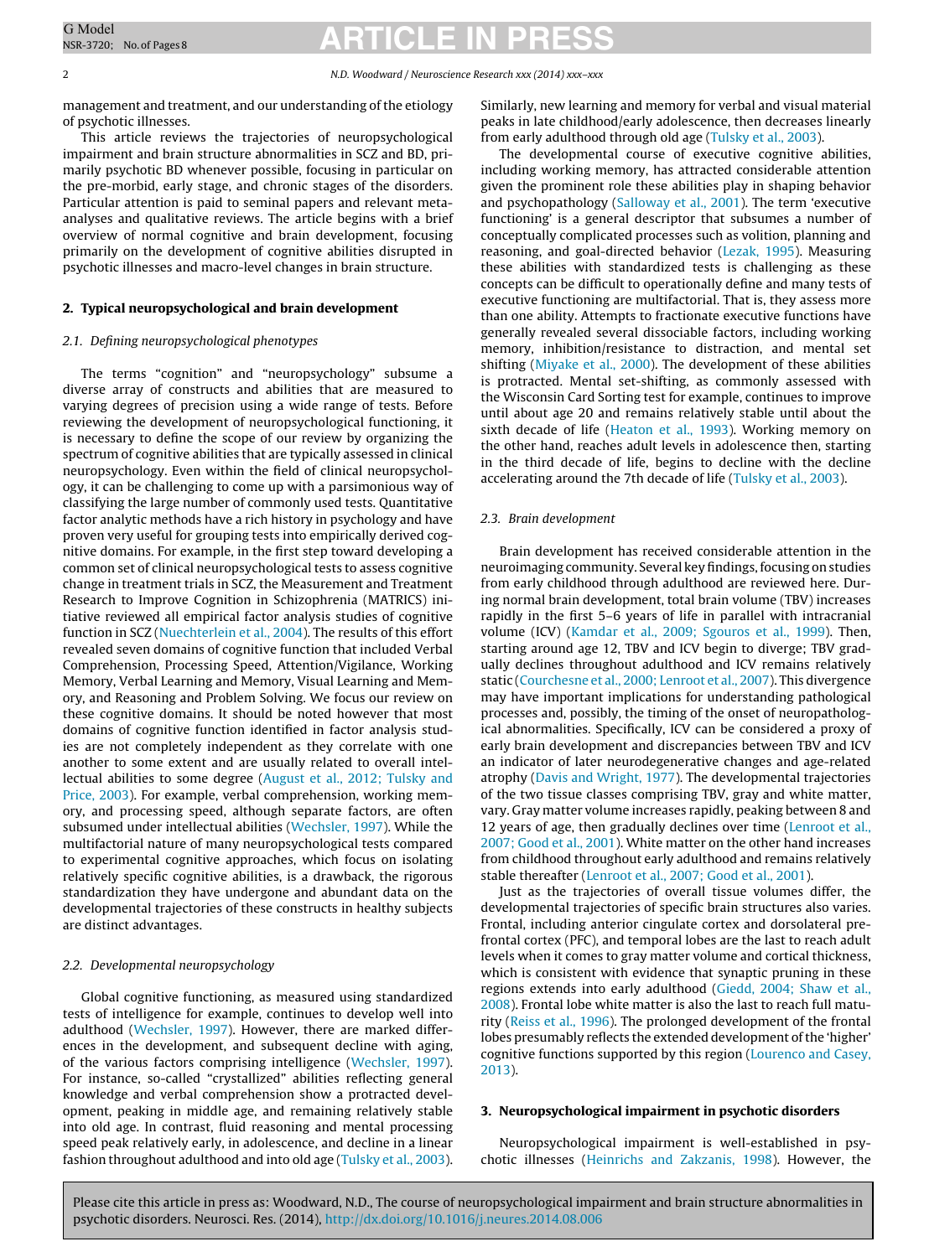2 N.D. Woodward / Neuroscience Research xxx (2014) xxx–xxx

management and treatment, and our understanding of the etiology of psychotic illnesses.

This article reviews the trajectories of neuropsychological impairment and brain structure abnormalities in SCZ and BD, primarily psychotic BD whenever possible, focusing in particular on the pre-morbid, early stage, and chronic stages of the disorders. Particular attention is paid to seminal papers and relevant metaanalyses and qualitative reviews. The article begins with a brief overview of normal cognitive and brain development, focusing primarily on the development of cognitive abilities disrupted in psychotic illnesses and macro-level changes in brain structure.

#### **2. Typical neuropsychological and brain development**

#### 2.1. Defining neuropsychological phenotypes

The terms "cognition" and "neuropsychology" subsume a diverse array of constructs and abilities that are measured to varying degrees of precision using a wide range of tests. Before reviewing the development of neuropsychological functioning, it is necessary to define the scope of our review by organizing the spectrum of cognitive abilities that are typically assessed in clinical neuropsychology. Even within the field of clinical neuropsychology, it can be challenging to come up with a parsimonious way of classifying the large number of commonly used tests. Quantitative factor analytic methods have a rich history in psychology and have proven very useful for grouping tests into empirically derived cognitive domains. For example, in the first step toward developing a common set of clinical neuropsychological tests to assess cognitive change in treatment trials in SCZ, the Measurement and Treatment Research to Improve Cognition in Schizophrenia (MATRICS) initiative reviewed all empirical factor analysis studies of cognitive function in SCZ [\(Nuechterlein](#page-6-0) et [al.,](#page-6-0) [2004\).](#page-6-0) The results of this effort revealed seven domains of cognitive function that included Verbal Comprehension, Processing Speed, Attention/Vigilance, Working Memory, Verbal Learning and Memory, Visual Learning and Memory, and Reasoning and Problem Solving. We focus our review on these cognitive domains. It should be noted however that most domains of cognitive function identified in factor analysis studies are not completely independent as they correlate with one another to some extent and are usually related to overall intellectual abilities to some degree [\(August](#page-5-0) et [al.,](#page-5-0) [2012;](#page-5-0) [Tulsky](#page-5-0) [and](#page-5-0) [Price,](#page-5-0) [2003\).](#page-5-0) For example, verbal comprehension, working memory, and processing speed, although separate factors, are often subsumed under intellectual abilities [\(Wechsler,](#page-6-0) [1997\).](#page-6-0) While the multifactorial nature of many neuropsychological tests compared to experimental cognitive approaches, which focus on isolating relatively specific cognitive abilities, is a drawback, the rigorous standardization they have undergone and abundant data on the developmental trajectories of these constructs in healthy subjects are distinct advantages.

#### 2.2. Developmental neuropsychology

Global cognitive functioning, as measured using standardized tests of intelligence for example, continues to develop well into adulthood ([Wechsler,](#page-6-0) [1997\).](#page-6-0) However, there are marked differences in the development, and subsequent decline with aging, of the various factors comprising intelligence ([Wechsler,](#page-6-0) [1997\).](#page-6-0) For instance, so-called "crystallized" abilities reflecting general knowledge and verbal comprehension show a protracted development, peaking in middle age, and remaining relatively stable into old age. In contrast, fluid reasoning and mental processing speed peak relatively early, in adolescence, and decline in a linear fashion throughout adulthood and into old age ([Tulsky](#page-6-0) et [al.,](#page-6-0) [2003\).](#page-6-0) Similarly, new learning and memory for verbal and visual material peaks in late childhood/early adolescence, then decreases linearly from early adulthood through old age ([Tulsky](#page-6-0) et [al.,](#page-6-0) [2003\).](#page-6-0)

The developmental course of executive cognitive abilities, including working memory, has attracted considerable attention given the prominent role these abilities play in shaping behavior and psychopathology [\(Salloway](#page-6-0) et [al.,](#page-6-0) [2001\).](#page-6-0) The term 'executive functioning' is a general descriptor that subsumes a number of conceptually complicated processes such as volition, planning and reasoning, and goal-directed behavior [\(Lezak,](#page-6-0) [1995\).](#page-6-0) Measuring these abilities with standardized tests is challenging as these concepts can be difficult to operationally define and many tests of executive functioning are multifactorial. That is, they assess more than one ability. Attempts to fractionate executive functions have generally revealed several dissociable factors, including working memory, inhibition/resistance to distraction, and mental set shifting [\(Miyake](#page-6-0) et [al.,](#page-6-0) [2000\).](#page-6-0) The development of these abilities is protracted. Mental set-shifting, as commonly assessed with the Wisconsin Card Sorting test for example, continues to improve until about age 20 and remains relatively stable until about the sixth decade of life ([Heaton](#page-6-0) et [al.,](#page-6-0) [1993\).](#page-6-0) Working memory on the other hand, reaches adult levels in adolescence then, starting in the third decade of life, begins to decline with the decline accelerating around the 7th decade of life [\(Tulsky](#page-6-0) et [al.,](#page-6-0) [2003\).](#page-6-0)

#### 2.3. Brain development

Brain development has received considerable attention in the neuroimaging community. Several keyfindings,focusing on studies from early childhood through adulthood are reviewed here. During normal brain development, total brain volume (TBV) increases rapidly in the first 5–6 years of life in parallel with intracranial volume (ICV) ([Kamdar](#page-6-0) et [al.,](#page-6-0) [2009;](#page-6-0) [Sgouros](#page-6-0) et [al.,](#page-6-0) [1999\).](#page-6-0) Then, starting around age 12, TBV and ICV begin to diverge; TBV gradually declines throughout adulthood and ICV remains relatively static [\(Courchesne](#page-5-0) et [al.,](#page-5-0) [2000;](#page-5-0) [Lenroot](#page-5-0) et [al.,](#page-5-0) [2007\).](#page-5-0) This divergence may have important implications for understanding pathological processes and, possibly, the timing of the onset of neuropathological abnormalities. Specifically, ICV can be considered a proxy of early brain development and discrepancies between TBV and ICV an indicator of later neurodegenerative changes and age-related atrophy ([Davis](#page-5-0) [and](#page-5-0) [Wright,](#page-5-0) [1977\).](#page-5-0) The developmental trajectories of the two tissue classes comprising TBV, gray and white matter, vary. Gray matter volume increases rapidly, peaking between 8 and 12 years of age, then gradually declines over time [\(Lenroot](#page-6-0) et [al.,](#page-6-0) [2007;](#page-6-0) [Good](#page-6-0) et [al.,](#page-6-0) [2001\).](#page-6-0) White matter on the other hand increases from childhood throughout early adulthood and remains relatively stable thereafter [\(Lenroot](#page-6-0) et [al.,](#page-6-0) [2007;](#page-6-0) [Good](#page-6-0) et [al.,](#page-6-0) [2001\).](#page-6-0)

Just as the trajectories of overall tissue volumes differ, the developmental trajectories of specific brain structures also varies. Frontal, including anterior cingulate cortex and dorsolateral prefrontal cortex (PFC), and temporal lobes are the last to reach adult levels when it comes to gray matter volume and cortical thickness, which is consistent with evidence that synaptic pruning in these regions extends into early adulthood ([Giedd,](#page-5-0) [2004;](#page-5-0) [Shaw](#page-5-0) et [al.,](#page-5-0) [2008\).](#page-5-0) Frontal lobe white matter is also the last to reach full maturity [\(Reiss](#page-6-0) et [al.,](#page-6-0) [1996\).](#page-6-0) The prolonged development of the frontal lobes presumably reflects the extended development of the 'higher' cognitive functions supported by this region [\(Lourenco](#page-6-0) [and](#page-6-0) [Casey,](#page-6-0) [2013\).](#page-6-0)

#### **3. Neuropsychological impairment in psychotic disorders**

Neuropsychological impairment is well-established in psychotic illnesses ([Heinrichs](#page-6-0) [and](#page-6-0) [Zakzanis,](#page-6-0) [1998\).](#page-6-0) However, the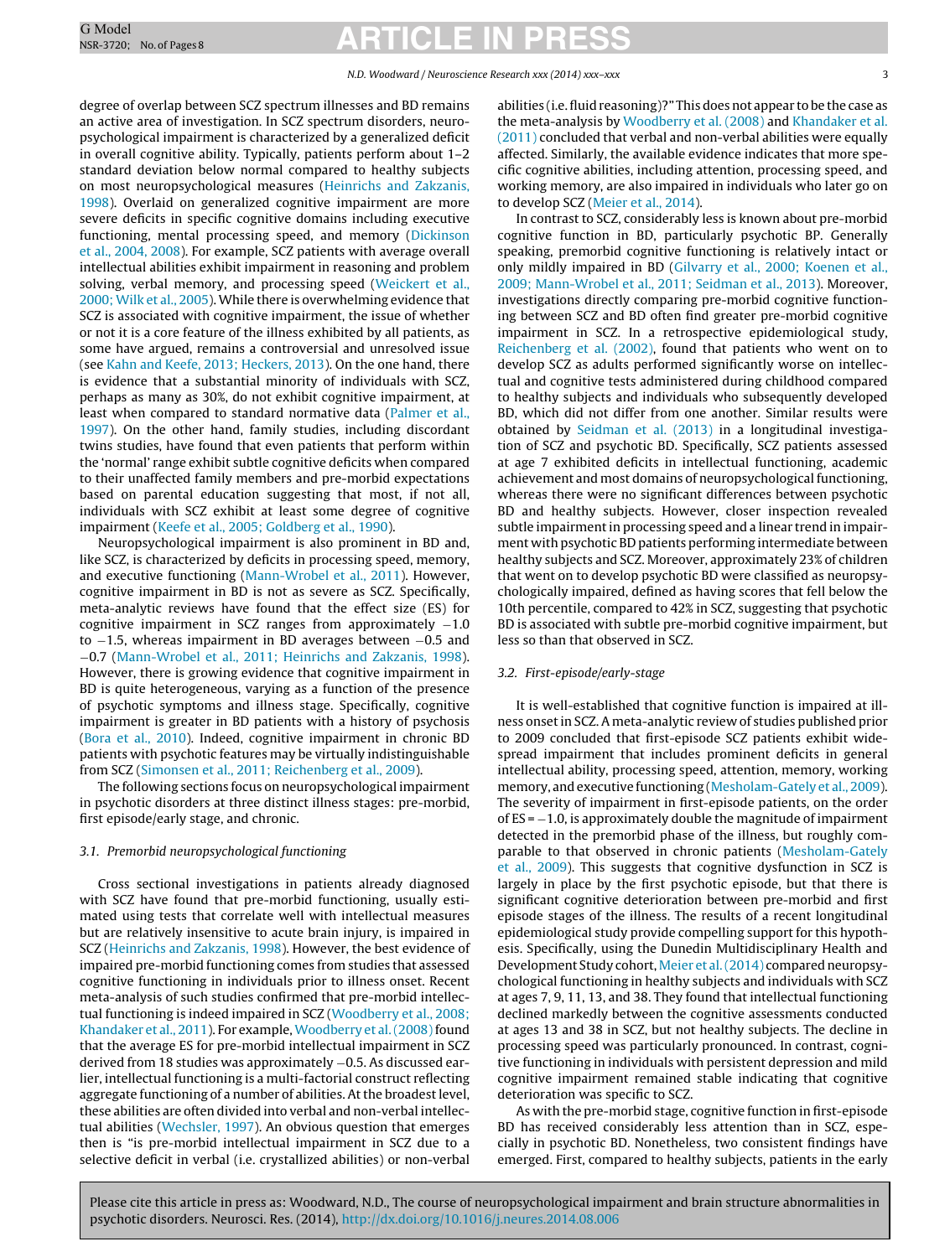degree of overlap between SCZ spectrum illnesses and BD remains an active area of investigation. In SCZ spectrum disorders, neuropsychological impairment is characterized by a generalized deficit in overall cognitive ability. Typically, patients perform about 1–2 standard deviation below normal compared to healthy subjects on most neuropsychological measures ([Heinrichs](#page-6-0) [and](#page-6-0) [Zakzanis,](#page-6-0) [1998\).](#page-6-0) Overlaid on generalized cognitive impairment are more severe deficits in specific cognitive domains including executive functioning, mental processing speed, and memory [\(Dickinson](#page-5-0) et [al.,](#page-5-0) [2004,](#page-5-0) [2008\).](#page-5-0) For example, SCZ patients with average overall intellectual abilities exhibit impairment in reasoning and problem solving, verbal memory, and processing speed ([Weickert](#page-6-0) et [al.,](#page-6-0) [2000;](#page-6-0) [Wilk](#page-6-0) et [al.,](#page-6-0) [2005\).](#page-6-0) While there is overwhelming evidence that SCZ is associated with cognitive impairment, the issue of whether or not it is a core feature of the illness exhibited by all patients, as some have argued, remains a controversial and unresolved issue (see [Kahn](#page-6-0) [and](#page-6-0) [Keefe,](#page-6-0) [2013;](#page-6-0) [Heckers,](#page-6-0) [2013\).](#page-6-0) On the one hand, there is evidence that a substantial minority of individuals with SCZ, perhaps as many as 30%, do not exhibit cognitive impairment, at least when compared to standard normative data [\(Palmer](#page-6-0) et [al.,](#page-6-0) [1997\).](#page-6-0) On the other hand, family studies, including discordant twins studies, have found that even patients that perform within the 'normal' range exhibit subtle cognitive deficits when compared to their unaffected family members and pre-morbid expectations based on parental education suggesting that most, if not all, individuals with SCZ exhibit at least some degree of cognitive impairment [\(Keefe](#page-6-0) et [al.,](#page-6-0) [2005;](#page-6-0) [Goldberg](#page-6-0) et [al.,](#page-6-0) [1990\).](#page-6-0)

Neuropsychological impairment is also prominent in BD and, like SCZ, is characterized by deficits in processing speed, memory, and executive functioning ([Mann-Wrobel](#page-6-0) et [al.,](#page-6-0) [2011\).](#page-6-0) However, cognitive impairment in BD is not as severe as SCZ. Specifically, meta-analytic reviews have found that the effect size (ES) for cognitive impairment in SCZ ranges from approximately −1.0 to −1.5, whereas impairment in BD averages between −0.5 and −0.7 ([Mann-Wrobel](#page-6-0) et [al.,](#page-6-0) [2011;](#page-6-0) [Heinrichs](#page-6-0) [and](#page-6-0) [Zakzanis,](#page-6-0) [1998\).](#page-6-0) However, there is growing evidence that cognitive impairment in BD is quite heterogeneous, varying as a function of the presence of psychotic symptoms and illness stage. Specifically, cognitive impairment is greater in BD patients with a history of psychosis ([Bora](#page-5-0) et [al.,](#page-5-0) [2010\).](#page-5-0) Indeed, cognitive impairment in chronic BD patients with psychotic features may be virtually indistinguishable from SCZ ([Simonsen](#page-6-0) et [al.,](#page-6-0) [2011;](#page-6-0) [Reichenberg](#page-6-0) et [al.,](#page-6-0) [2009\).](#page-6-0)

The following sections focus on neuropsychological impairment in psychotic disorders at three distinct illness stages: pre-morbid, first episode/early stage, and chronic.

#### 3.1. Premorbid neuropsychological functioning

Cross sectional investigations in patients already diagnosed with SCZ have found that pre-morbid functioning, usually estimated using tests that correlate well with intellectual measures but are relatively insensitive to acute brain injury, is impaired in SCZ ([Heinrichs](#page-6-0) [and](#page-6-0) [Zakzanis,](#page-6-0) [1998\).](#page-6-0) However, the best evidence of impaired pre-morbid functioning comes from studies that assessed cognitive functioning in individuals prior to illness onset. Recent meta-analysis of such studies confirmed that pre-morbid intellectual functioning is indeed impaired in SCZ [\(Woodberry](#page-6-0) et [al.,](#page-6-0) [2008;](#page-6-0) [Khandaker](#page-6-0) et [al.,](#page-6-0) [2011\).](#page-6-0) For example, [Woodberry](#page-6-0) et al. (2008) found that the average ES for pre-morbid intellectual impairment in SCZ derived from 18 studies was approximately −0.5. As discussed earlier, intellectual functioning is a multi-factorial construct reflecting aggregate functioning of a number of abilities. At the broadest level, these abilities are often divided into verbal and non-verbal intellectual abilities ([Wechsler,](#page-6-0) [1997\).](#page-6-0) An obvious question that emerges then is "is pre-morbid intellectual impairment in SCZ due to a selective deficit in verbal (i.e. crystallized abilities) or non-verbal

abilities (i.e.fluid reasoning)?" This does not appear to be the case as the meta-analysis by [Woodberry](#page-6-0) et [al.](#page-6-0) [\(2008\)](#page-6-0) and [Khandaker](#page-6-0) et [al.](#page-6-0) [\(2011\)](#page-6-0) concluded that verbal and non-verbal abilities were equally affected. Similarly, the available evidence indicates that more specific cognitive abilities, including attention, processing speed, and working memory, are also impaired in individuals who later go on to develop SCZ ([Meier](#page-6-0) et [al.,](#page-6-0) [2014\).](#page-6-0)

In contrast to SCZ, considerably less is known about pre-morbid cognitive function in BD, particularly psychotic BP. Generally speaking, premorbid cognitive functioning is relatively intact or only mildly impaired in BD [\(Gilvarry](#page-5-0) et [al.,](#page-5-0) [2000;](#page-5-0) [Koenen](#page-5-0) et [al.,](#page-5-0) [2009;](#page-5-0) [Mann-Wrobel](#page-5-0) et [al.,](#page-5-0) [2011;](#page-5-0) [Seidman](#page-5-0) et [al.,](#page-5-0) [2013\).](#page-5-0) Moreover, investigations directly comparing pre-morbid cognitive functioning between SCZ and BD often find greater pre-morbid cognitive impairment in SCZ. In a retrospective epidemiological study, [Reichenberg](#page-6-0) et [al.](#page-6-0) [\(2002\),](#page-6-0) found that patients who went on to develop SCZ as adults performed significantly worse on intellectual and cognitive tests administered during childhood compared to healthy subjects and individuals who subsequently developed BD, which did not differ from one another. Similar results were obtained by [Seidman](#page-6-0) et [al.](#page-6-0) [\(2013\)](#page-6-0) in a longitudinal investigation of SCZ and psychotic BD. Specifically, SCZ patients assessed at age 7 exhibited deficits in intellectual functioning, academic achievement and most domains of neuropsychological functioning, whereas there were no significant differences between psychotic BD and healthy subjects. However, closer inspection revealed subtle impairment in processing speed and a linear trend in impairment with psychotic BD patients performing intermediate between healthy subjects and SCZ. Moreover, approximately 23% of children that went on to develop psychotic BD were classified as neuropsychologically impaired, defined as having scores that fell below the 10th percentile, compared to 42% in SCZ, suggesting that psychotic BD is associated with subtle pre-morbid cognitive impairment, but less so than that observed in SCZ.

#### 3.2. First-episode/early-stage

It is well-established that cognitive function is impaired at illness onsetin SCZ. A meta-analytic review of studies published prior to 2009 concluded that first-episode SCZ patients exhibit widespread impairment that includes prominent deficits in general intellectual ability, processing speed, attention, memory, working memory, and executive functioning ([Mesholam-Gately](#page-6-0) et [al.,](#page-6-0) [2009\).](#page-6-0) The severity of impairment in first-episode patients, on the order of  $ES = -1.0$ , is approximately double the magnitude of impairment detected in the premorbid phase of the illness, but roughly comparable to that observed in chronic patients ([Mesholam-Gately](#page-6-0) et [al.,](#page-6-0) [2009\).](#page-6-0) This suggests that cognitive dysfunction in SCZ is largely in place by the first psychotic episode, but that there is significant cognitive deterioration between pre-morbid and first episode stages of the illness. The results of a recent longitudinal epidemiological study provide compelling support for this hypothesis. Specifically, using the Dunedin Multidisciplinary Health and Development Study cohort, [Meier](#page-6-0) et al. (2014) compared neuropsychological functioning in healthy subjects and individuals with SCZ at ages 7, 9, 11, 13, and 38. They found that intellectual functioning declined markedly between the cognitive assessments conducted at ages 13 and 38 in SCZ, but not healthy subjects. The decline in processing speed was particularly pronounced. In contrast, cognitive functioning in individuals with persistent depression and mild cognitive impairment remained stable indicating that cognitive deterioration was specific to SCZ.

As with the pre-morbid stage, cognitive function in first-episode BD has received considerably less attention than in SCZ, especially in psychotic BD. Nonetheless, two consistent findings have emerged. First, compared to healthy subjects, patients in the early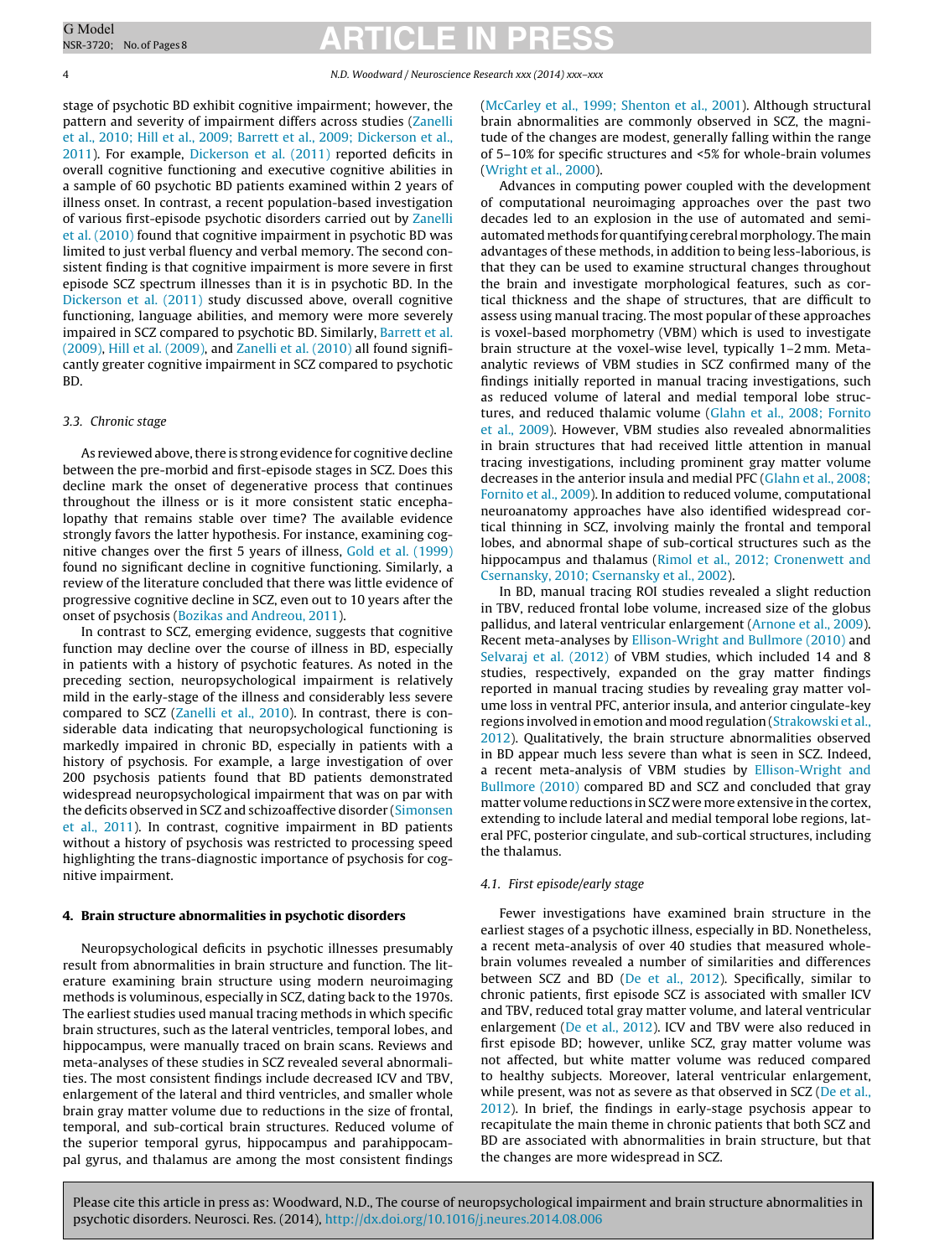4 N.D. Woodward / Neuroscience Research xxx (2014) xxx–xxx

stage of psychotic BD exhibit cognitive impairment; however, the pattern and severity of impairment differs across studies ([Zanelli](#page-7-0) et [al.,](#page-7-0) [2010;](#page-7-0) [Hill](#page-7-0) et [al.,](#page-7-0) [2009;](#page-7-0) [Barrett](#page-7-0) et [al.,](#page-7-0) [2009;](#page-7-0) [Dickerson](#page-7-0) et [al.,](#page-7-0) [2011\).](#page-7-0) For example, [Dickerson](#page-5-0) et [al.](#page-5-0) [\(2011\)](#page-5-0) reported deficits in overall cognitive functioning and executive cognitive abilities in a sample of 60 psychotic BD patients examined within 2 years of illness onset. In contrast, a recent population-based investigation of various first-episode psychotic disorders carried out by [Zanelli](#page-7-0) et [al.](#page-7-0) [\(2010\)](#page-7-0) found that cognitive impairment in psychotic BD was limited to just verbal fluency and verbal memory. The second consistent finding is that cognitive impairment is more severe in first episode SCZ spectrum illnesses than it is in psychotic BD. In the [Dickerson](#page-5-0) et [al.](#page-5-0) [\(2011\)](#page-5-0) study discussed above, overall cognitive functioning, language abilities, and memory were more severely impaired in SCZ compared to psychotic BD. Similarly, [Barrett](#page-5-0) et [al.](#page-5-0) [\(2009\),](#page-5-0) [Hill](#page-6-0) et [al.](#page-6-0) [\(2009\),](#page-6-0) and [Zanelli](#page-7-0) et [al.](#page-7-0) [\(2010\)](#page-7-0) all found significantly greater cognitive impairment in SCZ compared to psychotic BD.

#### 3.3. Chronic stage

As reviewed above, there is strong evidence for cognitive decline between the pre-morbid and first-episode stages in SCZ. Does this decline mark the onset of degenerative process that continues throughout the illness or is it more consistent static encephalopathy that remains stable over time? The available evidence strongly favors the latter hypothesis. For instance, examining cognitive changes over the first 5 years of illness, [Gold](#page-5-0) et [al.](#page-5-0) [\(1999\)](#page-5-0) found no significant decline in cognitive functioning. Similarly, a review of the literature concluded that there was little evidence of progressive cognitive decline in SCZ, even out to 10 years after the onset of psychosis [\(Bozikas](#page-5-0) [and](#page-5-0) [Andreou,](#page-5-0) [2011\).](#page-5-0)

In contrast to SCZ, emerging evidence, suggests that cognitive function may decline over the course of illness in BD, especially in patients with a history of psychotic features. As noted in the preceding section, neuropsychological impairment is relatively mild in the early-stage of the illness and considerably less severe compared to SCZ ([Zanelli](#page-7-0) et [al.,](#page-7-0) [2010\).](#page-7-0) In contrast, there is considerable data indicating that neuropsychological functioning is markedly impaired in chronic BD, especially in patients with a history of psychosis. For example, a large investigation of over 200 psychosis patients found that BD patients demonstrated widespread neuropsychological impairment that was on par with the deficits observed in SCZ and schizoaffective disorder [\(Simonsen](#page-6-0) et [al.,](#page-6-0) [2011\).](#page-6-0) In contrast, cognitive impairment in BD patients without a history of psychosis was restricted to processing speed highlighting the trans-diagnostic importance of psychosis for cognitive impairment.

#### **4. Brain structure abnormalities in psychotic disorders**

Neuropsychological deficits in psychotic illnesses presumably result from abnormalities in brain structure and function. The literature examining brain structure using modern neuroimaging methods is voluminous, especially in SCZ, dating back to the 1970s. The earliest studies used manual tracing methods in which specific brain structures, such as the lateral ventricles, temporal lobes, and hippocampus, were manually traced on brain scans. Reviews and meta-analyses of these studies in SCZ revealed several abnormalities. The most consistent findings include decreased ICV and TBV, enlargement of the lateral and third ventricles, and smaller whole brain gray matter volume due to reductions in the size of frontal, temporal, and sub-cortical brain structures. Reduced volume of the superior temporal gyrus, hippocampus and parahippocampal gyrus, and thalamus are among the most consistent findings

[\(McCarley](#page-6-0) et [al.,](#page-6-0) [1999;](#page-6-0) [Shenton](#page-6-0) et [al.,](#page-6-0) [2001\).](#page-6-0) Although structural brain abnormalities are commonly observed in SCZ, the magnitude of the changes are modest, generally falling within the range of 5–10% for specific structures and <5% for whole-brain volumes [\(Wright](#page-7-0) et [al.,](#page-7-0) [2000\).](#page-7-0)

Advances in computing power coupled with the development of computational neuroimaging approaches over the past two decades led to an explosion in the use of automated and semiautomated methods for quantifying cerebral morphology. The main advantages of these methods, in addition to being less-laborious, is that they can be used to examine structural changes throughout the brain and investigate morphological features, such as cortical thickness and the shape of structures, that are difficult to assess using manual tracing. The most popular of these approaches is voxel-based morphometry (VBM) which is used to investigate brain structure at the voxel-wise level, typically 1–2 mm. Metaanalytic reviews of VBM studies in SCZ confirmed many of the findings initially reported in manual tracing investigations, such as reduced volume of lateral and medial temporal lobe structures, and reduced thalamic volume [\(Glahn](#page-5-0) et [al.,](#page-5-0) [2008;](#page-5-0) [Fornito](#page-5-0) et [al.,](#page-5-0) [2009\).](#page-5-0) However, VBM studies also revealed abnormalities in brain structures that had received little attention in manual tracing investigations, including prominent gray matter volume decreases in the anterior insula and medial PFC ([Glahn](#page-5-0) et [al.,](#page-5-0) [2008;](#page-5-0) [Fornito](#page-5-0) et [al.,](#page-5-0) [2009\).](#page-5-0) In addition to reduced volume, computational neuroanatomy approaches have also identified widespread cortical thinning in SCZ, involving mainly the frontal and temporal lobes, and abnormal shape of sub-cortical structures such as the hippocampus and thalamus [\(Rimol](#page-6-0) et [al.,](#page-6-0) [2012;](#page-6-0) [Cronenwett](#page-6-0) [and](#page-6-0) [Csernansky,](#page-6-0) [2010;](#page-6-0) [Csernansky](#page-6-0) et [al.,](#page-6-0) [2002\).](#page-6-0)

In BD, manual tracing ROI studies revealed a slight reduction in TBV, reduced frontal lobe volume, increased size of the globus pallidus, and lateral ventricular enlargement [\(Arnone](#page-5-0) et [al.,](#page-5-0) [2009\).](#page-5-0) Recent meta-analyses by [Ellison-Wright](#page-5-0) [and](#page-5-0) [Bullmore](#page-5-0) [\(2010\)](#page-5-0) and [Selvaraj](#page-6-0) et [al.](#page-6-0) [\(2012\)](#page-6-0) of VBM studies, which included 14 and 8 studies, respectively, expanded on the gray matter findings reported in manual tracing studies by revealing gray matter volume loss in ventral PFC, anterior insula, and anterior cingulate-key regions involved in emotion and mood regulation ([Strakowski](#page-6-0) et [al.,](#page-6-0) [2012\).](#page-6-0) Qualitatively, the brain structure abnormalities observed in BD appear much less severe than what is seen in SCZ. Indeed, a recent meta-analysis of VBM studies by [Ellison-Wright](#page-5-0) [and](#page-5-0) [Bullmore](#page-5-0) [\(2010\)](#page-5-0) compared BD and SCZ and concluded that gray matter volume reductions in SCZ were more extensive in the cortex, extending to include lateral and medial temporal lobe regions, lateral PFC, posterior cingulate, and sub-cortical structures, including the thalamus.

#### 4.1. First episode/early stage

Fewer investigations have examined brain structure in the earliest stages of a psychotic illness, especially in BD. Nonetheless, a recent meta-analysis of over 40 studies that measured wholebrain volumes revealed a number of similarities and differences between SCZ and BD ([De](#page-5-0) et [al.,](#page-5-0) [2012\).](#page-5-0) Specifically, similar to chronic patients, first episode SCZ is associated with smaller ICV and TBV, reduced total gray matter volume, and lateral ventricular enlargement ([De](#page-5-0) et [al.,](#page-5-0) [2012\).](#page-5-0) ICV and TBV were also reduced in first episode BD; however, unlike SCZ, gray matter volume was not affected, but white matter volume was reduced compared to healthy subjects. Moreover, lateral ventricular enlargement, while present, was not as severe as that observed in SCZ [\(De](#page-5-0) et [al.,](#page-5-0) [2012\).](#page-5-0) In brief, the findings in early-stage psychosis appear to recapitulate the main theme in chronic patients that both SCZ and BD are associated with abnormalities in brain structure, but that the changes are more widespread in SCZ.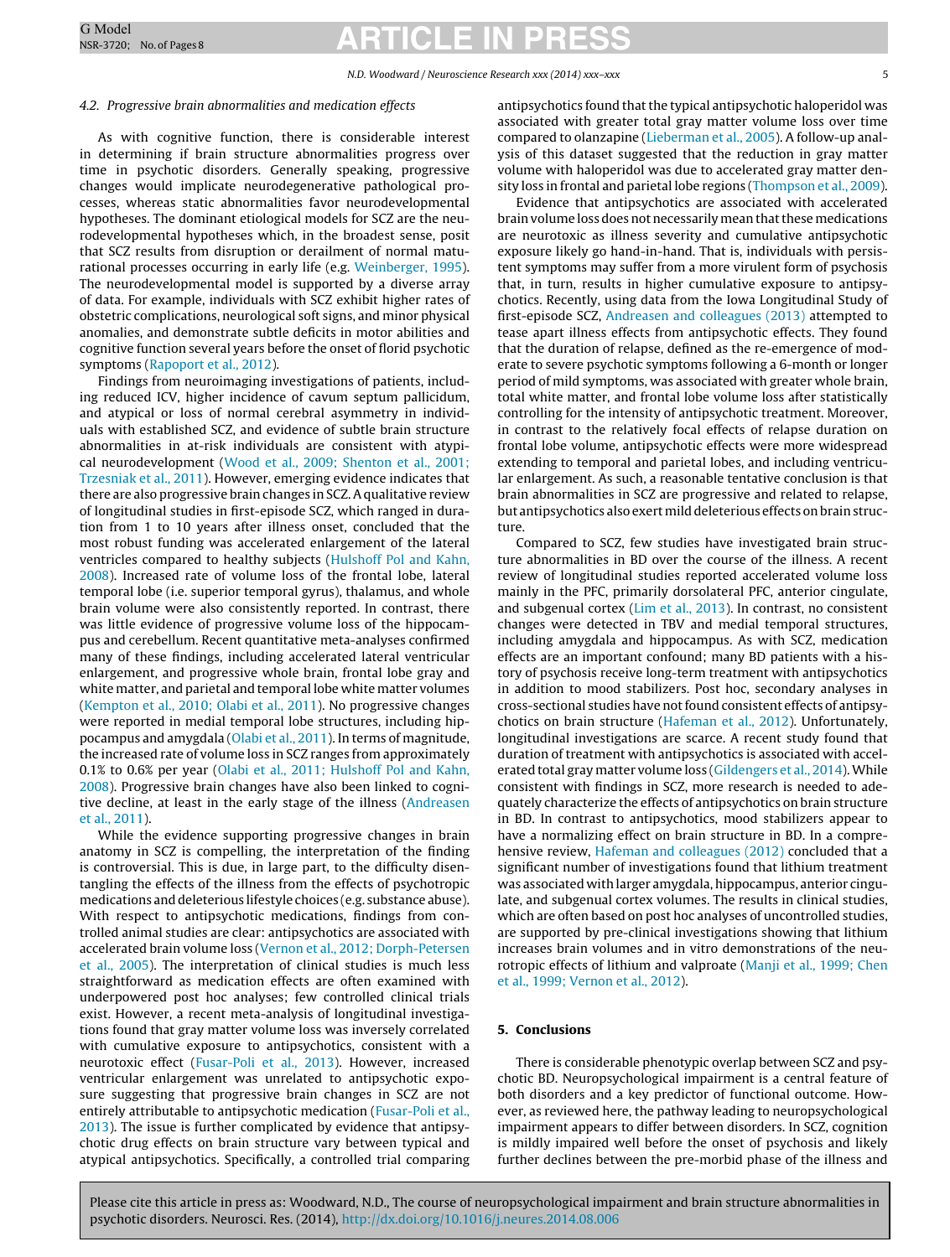#### 4.2. Progressive brain abnormalities and medication effects

As with cognitive function, there is considerable interest in determining if brain structure abnormalities progress over time in psychotic disorders. Generally speaking, progressive changes would implicate neurodegenerative pathological processes, whereas static abnormalities favor neurodevelopmental hypotheses. The dominant etiological models for SCZ are the neurodevelopmental hypotheses which, in the broadest sense, posit that SCZ results from disruption or derailment of normal maturational processes occurring in early life (e.g. [Weinberger,](#page-6-0) [1995\).](#page-6-0) The neurodevelopmental model is supported by a diverse array of data. For example, individuals with SCZ exhibit higher rates of obstetric complications, neurological soft signs, and minor physical anomalies, and demonstrate subtle deficits in motor abilities and cognitive function several years before the onset of florid psychotic symptoms ([Rapoport](#page-6-0) et [al.,](#page-6-0) [2012\).](#page-6-0)

Findings from neuroimaging investigations of patients, including reduced ICV, higher incidence of cavum septum pallicidum, and atypical or loss of normal cerebral asymmetry in individuals with established SCZ, and evidence of subtle brain structure abnormalities in at-risk individuals are consistent with atypical neurodevelopment [\(Wood](#page-6-0) et [al.,](#page-6-0) [2009;](#page-6-0) [Shenton](#page-6-0) et [al.,](#page-6-0) [2001;](#page-6-0) [Trzesniak](#page-6-0) et [al.,](#page-6-0) [2011\).](#page-6-0) However, emerging evidence indicates that there are also progressive brain changes in SCZ.Aqualitative review of longitudinal studies in first-episode SCZ, which ranged in duration from 1 to 10 years after illness onset, concluded that the most robust funding was accelerated enlargement of the lateral ventricles compared to healthy subjects ([Hulshoff](#page-6-0) [Pol](#page-6-0) [and](#page-6-0) [Kahn,](#page-6-0) [2008\).](#page-6-0) Increased rate of volume loss of the frontal lobe, lateral temporal lobe (i.e. superior temporal gyrus), thalamus, and whole brain volume were also consistently reported. In contrast, there was little evidence of progressive volume loss of the hippocampus and cerebellum. Recent quantitative meta-analyses confirmed many of these findings, including accelerated lateral ventricular enlargement, and progressive whole brain, frontal lobe gray and white matter, and parietal and temporal lobe white matter volumes ([Kempton](#page-6-0) et [al.,](#page-6-0) [2010;](#page-6-0) [Olabi](#page-6-0) et [al.,](#page-6-0) [2011\).](#page-6-0) No progressive changes were reported in medial temporal lobe structures, including hippocampus and amygdala ([Olabi](#page-6-0) et [al.,](#page-6-0) [2011\).](#page-6-0) In terms of magnitude, the increased rate of volume loss in SCZ ranges from approximately 0.1% to 0.6% per year ([Olabi](#page-6-0) et [al.,](#page-6-0) [2011;](#page-6-0) [Hulshoff](#page-6-0) [Pol](#page-6-0) [and](#page-6-0) [Kahn,](#page-6-0) [2008\).](#page-6-0) Progressive brain changes have also been linked to cognitive decline, at least in the early stage of the illness ([Andreasen](#page-5-0) et [al.,](#page-5-0) [2011\).](#page-5-0)

While the evidence supporting progressive changes in brain anatomy in SCZ is compelling, the interpretation of the finding is controversial. This is due, in large part, to the difficulty disentangling the effects of the illness from the effects of psychotropic medications and deleterious lifestyle choices (e.g. substance abuse). With respect to antipsychotic medications, findings from controlled animal studies are clear: antipsychotics are associated with accelerated brain volume loss [\(Vernon](#page-6-0) et [al.,](#page-6-0) [2012;](#page-6-0) [Dorph-Petersen](#page-6-0) et [al.,](#page-6-0) [2005\).](#page-6-0) The interpretation of clinical studies is much less straightforward as medication effects are often examined with underpowered post hoc analyses; few controlled clinical trials exist. However, a recent meta-analysis of longitudinal investigations found that gray matter volume loss was inversely correlated with cumulative exposure to antipsychotics, consistent with a neurotoxic effect ([Fusar-Poli](#page-5-0) et [al.,](#page-5-0) [2013\).](#page-5-0) However, increased ventricular enlargement was unrelated to antipsychotic exposure suggesting that progressive brain changes in SCZ are not entirely attributable to antipsychotic medication ([Fusar-Poli](#page-5-0) et [al.,](#page-5-0) [2013\).](#page-5-0) The issue is further complicated by evidence that antipsychotic drug effects on brain structure vary between typical and atypical antipsychotics. Specifically, a controlled trial comparing antipsychotics found that the typical antipsychotic haloperidol was associated with greater total gray matter volume loss over time compared to olanzapine [\(Lieberman](#page-6-0) et [al.,](#page-6-0) [2005\).](#page-6-0) A follow-up analysis of this dataset suggested that the reduction in gray matter volume with haloperidol was due to accelerated gray matter density loss in frontal and parietal lobe regions ([Thompson](#page-6-0) et [al.,](#page-6-0) [2009\).](#page-6-0)

Evidence that antipsychotics are associated with accelerated brain volume loss does not necessarily mean that these medications are neurotoxic as illness severity and cumulative antipsychotic exposure likely go hand-in-hand. That is, individuals with persistent symptoms may suffer from a more virulent form of psychosis that, in turn, results in higher cumulative exposure to antipsychotics. Recently, using data from the Iowa Longitudinal Study of first-episode SCZ, [Andreasen](#page-5-0) [and](#page-5-0) [colleagues](#page-5-0) [\(2013\)](#page-5-0) attempted to tease apart illness effects from antipsychotic effects. They found that the duration of relapse, defined as the re-emergence of moderate to severe psychotic symptoms following a 6-month or longer period of mild symptoms, was associated with greater whole brain, total white matter, and frontal lobe volume loss after statistically controlling for the intensity of antipsychotic treatment. Moreover, in contrast to the relatively focal effects of relapse duration on frontal lobe volume, antipsychotic effects were more widespread extending to temporal and parietal lobes, and including ventricular enlargement. As such, a reasonable tentative conclusion is that brain abnormalities in SCZ are progressive and related to relapse, but antipsychotics also exert mild deleterious effects on brain structure.

Compared to SCZ, few studies have investigated brain structure abnormalities in BD over the course of the illness. A recent review of longitudinal studies reported accelerated volume loss mainly in the PFC, primarily dorsolateral PFC, anterior cingulate, and subgenual cortex [\(Lim](#page-6-0) et [al.,](#page-6-0) [2013\).](#page-6-0) In contrast, no consistent changes were detected in TBV and medial temporal structures, including amygdala and hippocampus. As with SCZ, medication effects are an important confound; many BD patients with a history of psychosis receive long-term treatment with antipsychotics in addition to mood stabilizers. Post hoc, secondary analyses in cross-sectional studies have notfound consistent effects of antipsychotics on brain structure [\(Hafeman](#page-6-0) et [al.,](#page-6-0) [2012\).](#page-6-0) Unfortunately, longitudinal investigations are scarce. A recent study found that duration of treatment with antipsychotics is associated with accelerated total gray matter volume loss ([Gildengers](#page-5-0) et [al.,](#page-5-0) [2014\).](#page-5-0)While consistent with findings in SCZ, more research is needed to adequately characterize the effects of antipsychotics on brain structure in BD. In contrast to antipsychotics, mood stabilizers appear to have a normalizing effect on brain structure in BD. In a comprehensive review, [Hafeman](#page-6-0) [and](#page-6-0) [colleagues](#page-6-0) [\(2012\)](#page-6-0) concluded that a significant number of investigations found that lithium treatment was associated with larger amygdala, hippocampus, anterior cingulate, and subgenual cortex volumes. The results in clinical studies, which are often based on post hoc analyses of uncontrolled studies, are supported by pre-clinical investigations showing that lithium increases brain volumes and in vitro demonstrations of the neurotropic effects of lithium and valproate [\(Manji](#page-6-0) et [al.,](#page-6-0) [1999;](#page-6-0) [Chen](#page-6-0) et [al.,](#page-6-0) [1999;](#page-6-0) [Vernon](#page-6-0) et [al.,](#page-6-0) [2012\).](#page-6-0)

#### **5. Conclusions**

There is considerable phenotypic overlap between SCZ and psychotic BD. Neuropsychological impairment is a central feature of both disorders and a key predictor of functional outcome. However, as reviewed here, the pathway leading to neuropsychological impairment appears to differ between disorders. In SCZ, cognition is mildly impaired well before the onset of psychosis and likely further declines between the pre-morbid phase of the illness and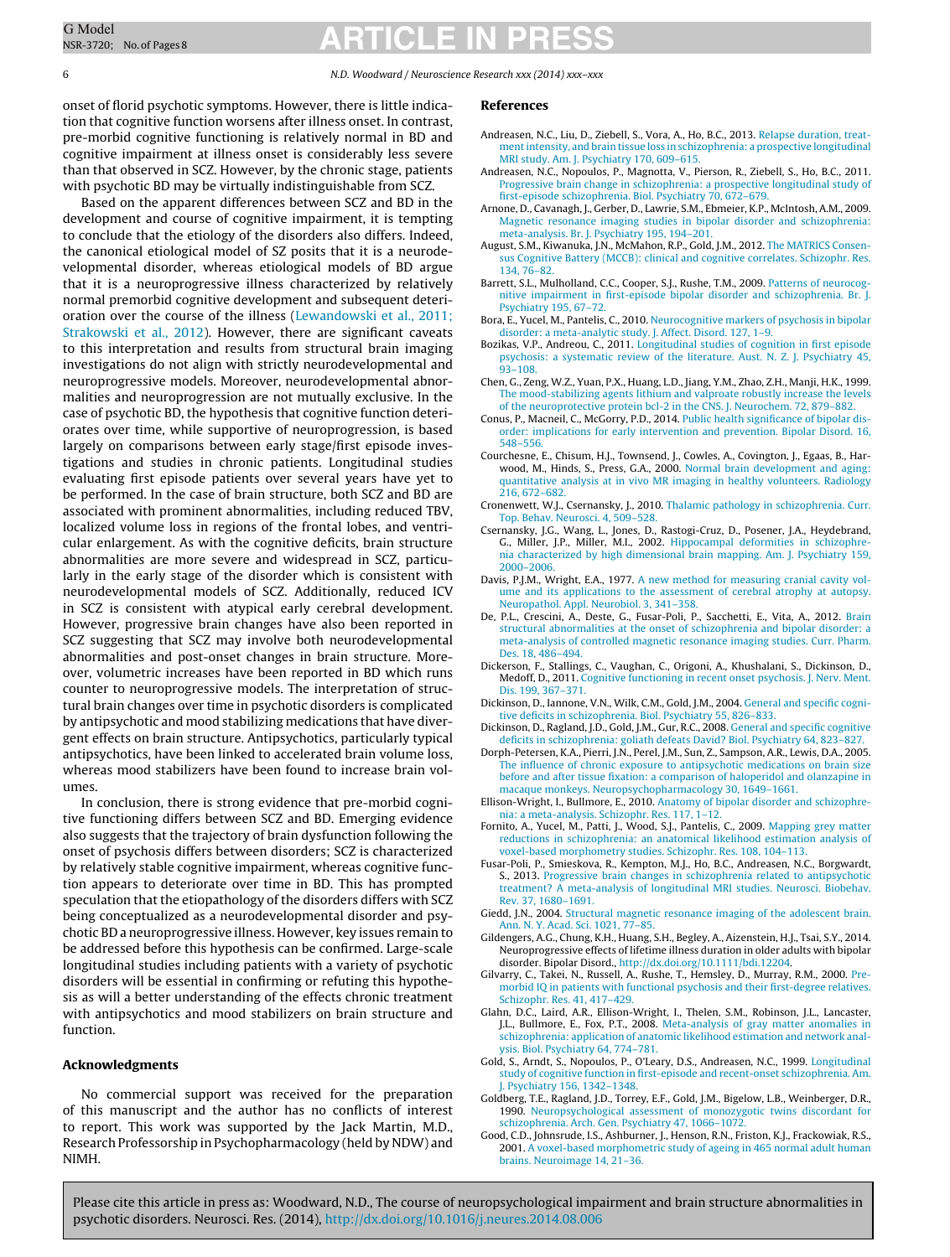6 N.D. Woodward / Neuroscience Research xxx (2014) xxx–xxx

onset of florid psychotic symptoms. However, there is little indication that cognitive function worsens after illness onset. In contrast, pre-morbid cognitive functioning is relatively normal in BD and cognitive impairment at illness onset is considerably less severe than that observed in SCZ. However, by the chronic stage, patients with psychotic BD may be virtually indistinguishable from SCZ.

Based on the apparent differences between SCZ and BD in the development and course of cognitive impairment, it is tempting to conclude that the etiology of the disorders also differs. Indeed, the canonical etiological model of SZ posits that it is a neurodevelopmental disorder, whereas etiological models of BD argue that it is a neuroprogressive illness characterized by relatively normal premorbid cognitive development and subsequent deterioration over the course of the illness ([Lewandowski](#page-6-0) et [al.,](#page-6-0) [2011;](#page-6-0) [Strakowski](#page-6-0) et [al.,](#page-6-0) [2012\).](#page-6-0) However, there are significant caveats to this interpretation and results from structural brain imaging investigations do not align with strictly neurodevelopmental and neuroprogressive models. Moreover, neurodevelopmental abnormalities and neuroprogression are not mutually exclusive. In the case of psychotic BD, the hypothesis that cognitive function deteriorates over time, while supportive of neuroprogression, is based largely on comparisons between early stage/first episode investigations and studies in chronic patients. Longitudinal studies evaluating first episode patients over several years have yet to be performed. In the case of brain structure, both SCZ and BD are associated with prominent abnormalities, including reduced TBV, localized volume loss in regions of the frontal lobes, and ventricular enlargement. As with the cognitive deficits, brain structure abnormalities are more severe and widespread in SCZ, particularly in the early stage of the disorder which is consistent with neurodevelopmental models of SCZ. Additionally, reduced ICV in SCZ is consistent with atypical early cerebral development. However, progressive brain changes have also been reported in SCZ suggesting that SCZ may involve both neurodevelopmental abnormalities and post-onset changes in brain structure. Moreover, volumetric increases have been reported in BD which runs counter to neuroprogressive models. The interpretation of structural brain changes over time in psychotic disorders is complicated by antipsychotic and mood stabilizing medications that have divergent effects on brain structure. Antipsychotics, particularly typical antipsychotics, have been linked to accelerated brain volume loss, whereas mood stabilizers have been found to increase brain volumes.

In conclusion, there is strong evidence that pre-morbid cognitive functioning differs between SCZ and BD. Emerging evidence also suggests that the trajectory of brain dysfunction following the onset of psychosis differs between disorders; SCZ is characterized by relatively stable cognitive impairment, whereas cognitive function appears to deteriorate over time in BD. This has prompted speculation that the etiopathology of the disorders differs with SCZ being conceptualized as a neurodevelopmental disorder and psychotic BD a neuroprogressive illness. However, key issues remain to be addressed before this hypothesis can be confirmed. Large-scale longitudinal studies including patients with a variety of psychotic disorders will be essential in confirming or refuting this hypothesis as will a better understanding of the effects chronic treatment with antipsychotics and mood stabilizers on brain structure and function.

#### **Acknowledgments**

No commercial support was received for the preparation of this manuscript and the author has no conflicts of interest to report. This work was supported by the Jack Martin, M.D., Research Professorship in Psychopharmacology (held by NDW) and NIMH.

#### **References**

- Andreasen, N.C., Liu, D., Ziebell, S., Vora, A., Ho, B.C., 2013. [Relapse](http://refhub.elsevier.com/S0168-0102(14)00182-5/sbref0015) [duration,](http://refhub.elsevier.com/S0168-0102(14)00182-5/sbref0015) [treat](http://refhub.elsevier.com/S0168-0102(14)00182-5/sbref0015)[mentintensity,](http://refhub.elsevier.com/S0168-0102(14)00182-5/sbref0015) [and](http://refhub.elsevier.com/S0168-0102(14)00182-5/sbref0015) [brain](http://refhub.elsevier.com/S0168-0102(14)00182-5/sbref0015) [tissue](http://refhub.elsevier.com/S0168-0102(14)00182-5/sbref0015) [loss](http://refhub.elsevier.com/S0168-0102(14)00182-5/sbref0015) [in](http://refhub.elsevier.com/S0168-0102(14)00182-5/sbref0015) [schizophrenia:](http://refhub.elsevier.com/S0168-0102(14)00182-5/sbref0015) [a](http://refhub.elsevier.com/S0168-0102(14)00182-5/sbref0015) [prospective](http://refhub.elsevier.com/S0168-0102(14)00182-5/sbref0015) [longitudinal](http://refhub.elsevier.com/S0168-0102(14)00182-5/sbref0015) [MRI](http://refhub.elsevier.com/S0168-0102(14)00182-5/sbref0015) [study.](http://refhub.elsevier.com/S0168-0102(14)00182-5/sbref0015) [Am.](http://refhub.elsevier.com/S0168-0102(14)00182-5/sbref0015) [J.](http://refhub.elsevier.com/S0168-0102(14)00182-5/sbref0015) [Psychiatry](http://refhub.elsevier.com/S0168-0102(14)00182-5/sbref0015) [170,](http://refhub.elsevier.com/S0168-0102(14)00182-5/sbref0015) [609–615.](http://refhub.elsevier.com/S0168-0102(14)00182-5/sbref0015)
- Andreasen, N.C., Nopoulos, P., Magnotta, V., Pierson, R., Ziebell, S., Ho, B.C., 2011. [Progressive](http://refhub.elsevier.com/S0168-0102(14)00182-5/sbref0020) [brain](http://refhub.elsevier.com/S0168-0102(14)00182-5/sbref0020) [change](http://refhub.elsevier.com/S0168-0102(14)00182-5/sbref0020) [in](http://refhub.elsevier.com/S0168-0102(14)00182-5/sbref0020) [schizophrenia:](http://refhub.elsevier.com/S0168-0102(14)00182-5/sbref0020) [a](http://refhub.elsevier.com/S0168-0102(14)00182-5/sbref0020) [prospective](http://refhub.elsevier.com/S0168-0102(14)00182-5/sbref0020) [longitudinal](http://refhub.elsevier.com/S0168-0102(14)00182-5/sbref0020) [study](http://refhub.elsevier.com/S0168-0102(14)00182-5/sbref0020) [of](http://refhub.elsevier.com/S0168-0102(14)00182-5/sbref0020) [first-episode](http://refhub.elsevier.com/S0168-0102(14)00182-5/sbref0020) [schizophrenia.](http://refhub.elsevier.com/S0168-0102(14)00182-5/sbref0020) [Biol.](http://refhub.elsevier.com/S0168-0102(14)00182-5/sbref0020) [Psychiatry](http://refhub.elsevier.com/S0168-0102(14)00182-5/sbref0020) [70,](http://refhub.elsevier.com/S0168-0102(14)00182-5/sbref0020) [672](http://refhub.elsevier.com/S0168-0102(14)00182-5/sbref0020)–[679.](http://refhub.elsevier.com/S0168-0102(14)00182-5/sbref0020)
- Arnone, D., Cavanagh, J., Gerber, D., Lawrie, S.M., Ebmeier, K.P., McIntosh, A.M., 2009. [Magnetic](http://refhub.elsevier.com/S0168-0102(14)00182-5/sbref0025) [resonance](http://refhub.elsevier.com/S0168-0102(14)00182-5/sbref0025) [imaging](http://refhub.elsevier.com/S0168-0102(14)00182-5/sbref0025) [studies](http://refhub.elsevier.com/S0168-0102(14)00182-5/sbref0025) [in](http://refhub.elsevier.com/S0168-0102(14)00182-5/sbref0025) [bipolar](http://refhub.elsevier.com/S0168-0102(14)00182-5/sbref0025) [disorder](http://refhub.elsevier.com/S0168-0102(14)00182-5/sbref0025) [and](http://refhub.elsevier.com/S0168-0102(14)00182-5/sbref0025) [schizophrenia:](http://refhub.elsevier.com/S0168-0102(14)00182-5/sbref0025) [meta-analysis.](http://refhub.elsevier.com/S0168-0102(14)00182-5/sbref0025) [Br.](http://refhub.elsevier.com/S0168-0102(14)00182-5/sbref0025) [J.](http://refhub.elsevier.com/S0168-0102(14)00182-5/sbref0025) [Psychiatry](http://refhub.elsevier.com/S0168-0102(14)00182-5/sbref0025) [195,](http://refhub.elsevier.com/S0168-0102(14)00182-5/sbref0025) [194](http://refhub.elsevier.com/S0168-0102(14)00182-5/sbref0025)–[201.](http://refhub.elsevier.com/S0168-0102(14)00182-5/sbref0025)
- August, S.M., Kiwanuka, J.N., McMahon, R.P., Gold, J.M., 2012. [The](http://refhub.elsevier.com/S0168-0102(14)00182-5/sbref0030) [MATRICS](http://refhub.elsevier.com/S0168-0102(14)00182-5/sbref0030) [Consen](http://refhub.elsevier.com/S0168-0102(14)00182-5/sbref0030)[sus](http://refhub.elsevier.com/S0168-0102(14)00182-5/sbref0030) [Cognitive](http://refhub.elsevier.com/S0168-0102(14)00182-5/sbref0030) [Battery](http://refhub.elsevier.com/S0168-0102(14)00182-5/sbref0030) [\(MCCB\):](http://refhub.elsevier.com/S0168-0102(14)00182-5/sbref0030) [clinical](http://refhub.elsevier.com/S0168-0102(14)00182-5/sbref0030) [and](http://refhub.elsevier.com/S0168-0102(14)00182-5/sbref0030) [cognitive](http://refhub.elsevier.com/S0168-0102(14)00182-5/sbref0030) [correlates.](http://refhub.elsevier.com/S0168-0102(14)00182-5/sbref0030) [Schizophr.](http://refhub.elsevier.com/S0168-0102(14)00182-5/sbref0030) [Res.](http://refhub.elsevier.com/S0168-0102(14)00182-5/sbref0030) [134,](http://refhub.elsevier.com/S0168-0102(14)00182-5/sbref0030) [76–82.](http://refhub.elsevier.com/S0168-0102(14)00182-5/sbref0030)
- Barrett, S.L., Mulholland, C.C., Cooper, S.J., Rushe, T.M., 2009. [Patterns](http://refhub.elsevier.com/S0168-0102(14)00182-5/sbref0035) [of](http://refhub.elsevier.com/S0168-0102(14)00182-5/sbref0035) [neurocog](http://refhub.elsevier.com/S0168-0102(14)00182-5/sbref0035)[nitive](http://refhub.elsevier.com/S0168-0102(14)00182-5/sbref0035) [impairment](http://refhub.elsevier.com/S0168-0102(14)00182-5/sbref0035) [in](http://refhub.elsevier.com/S0168-0102(14)00182-5/sbref0035) [first-episode](http://refhub.elsevier.com/S0168-0102(14)00182-5/sbref0035) [bipolar](http://refhub.elsevier.com/S0168-0102(14)00182-5/sbref0035) [disorder](http://refhub.elsevier.com/S0168-0102(14)00182-5/sbref0035) [and](http://refhub.elsevier.com/S0168-0102(14)00182-5/sbref0035) [schizophrenia.](http://refhub.elsevier.com/S0168-0102(14)00182-5/sbref0035) [Br.](http://refhub.elsevier.com/S0168-0102(14)00182-5/sbref0035) [J.](http://refhub.elsevier.com/S0168-0102(14)00182-5/sbref0035) [Psychiatry](http://refhub.elsevier.com/S0168-0102(14)00182-5/sbref0035) [195,](http://refhub.elsevier.com/S0168-0102(14)00182-5/sbref0035) [67–72.](http://refhub.elsevier.com/S0168-0102(14)00182-5/sbref0035)
- Bora, E., Yucel, M., Pantelis, C., 2010. [Neurocognitive](http://refhub.elsevier.com/S0168-0102(14)00182-5/sbref0040) [markers](http://refhub.elsevier.com/S0168-0102(14)00182-5/sbref0040) [of](http://refhub.elsevier.com/S0168-0102(14)00182-5/sbref0040) [psychosis](http://refhub.elsevier.com/S0168-0102(14)00182-5/sbref0040) [in](http://refhub.elsevier.com/S0168-0102(14)00182-5/sbref0040) [bipolar](http://refhub.elsevier.com/S0168-0102(14)00182-5/sbref0040) [disorder:](http://refhub.elsevier.com/S0168-0102(14)00182-5/sbref0040) [a](http://refhub.elsevier.com/S0168-0102(14)00182-5/sbref0040) [meta-analytic](http://refhub.elsevier.com/S0168-0102(14)00182-5/sbref0040) [study.](http://refhub.elsevier.com/S0168-0102(14)00182-5/sbref0040) [J.](http://refhub.elsevier.com/S0168-0102(14)00182-5/sbref0040) [Affect.](http://refhub.elsevier.com/S0168-0102(14)00182-5/sbref0040) [Disord.](http://refhub.elsevier.com/S0168-0102(14)00182-5/sbref0040) [127,](http://refhub.elsevier.com/S0168-0102(14)00182-5/sbref0040) [1](http://refhub.elsevier.com/S0168-0102(14)00182-5/sbref0040)–[9.](http://refhub.elsevier.com/S0168-0102(14)00182-5/sbref0040)
- Bozikas, V.P., Andreou, C., 2011. [Longitudinal](http://refhub.elsevier.com/S0168-0102(14)00182-5/sbref0045) [studies](http://refhub.elsevier.com/S0168-0102(14)00182-5/sbref0045) [of](http://refhub.elsevier.com/S0168-0102(14)00182-5/sbref0045) [cognition](http://refhub.elsevier.com/S0168-0102(14)00182-5/sbref0045) [in](http://refhub.elsevier.com/S0168-0102(14)00182-5/sbref0045) [first](http://refhub.elsevier.com/S0168-0102(14)00182-5/sbref0045) [episode](http://refhub.elsevier.com/S0168-0102(14)00182-5/sbref0045) [psychosis:](http://refhub.elsevier.com/S0168-0102(14)00182-5/sbref0045) [a](http://refhub.elsevier.com/S0168-0102(14)00182-5/sbref0045) [systematic](http://refhub.elsevier.com/S0168-0102(14)00182-5/sbref0045) [review](http://refhub.elsevier.com/S0168-0102(14)00182-5/sbref0045) [of](http://refhub.elsevier.com/S0168-0102(14)00182-5/sbref0045) [the](http://refhub.elsevier.com/S0168-0102(14)00182-5/sbref0045) [literature.](http://refhub.elsevier.com/S0168-0102(14)00182-5/sbref0045) [Aust.](http://refhub.elsevier.com/S0168-0102(14)00182-5/sbref0045) [N.](http://refhub.elsevier.com/S0168-0102(14)00182-5/sbref0045) [Z.](http://refhub.elsevier.com/S0168-0102(14)00182-5/sbref0045) [J.](http://refhub.elsevier.com/S0168-0102(14)00182-5/sbref0045) [Psychiatry](http://refhub.elsevier.com/S0168-0102(14)00182-5/sbref0045) [45,](http://refhub.elsevier.com/S0168-0102(14)00182-5/sbref0045) [93](http://refhub.elsevier.com/S0168-0102(14)00182-5/sbref0045)–[108.](http://refhub.elsevier.com/S0168-0102(14)00182-5/sbref0045)
- Chen, G., Zeng, W.Z., Yuan, P.X., Huang, L.D., Jiang, Y.M., Zhao, Z.H., Manji, H.K., 1999. [The](http://refhub.elsevier.com/S0168-0102(14)00182-5/sbref0050) [mood-stabilizing](http://refhub.elsevier.com/S0168-0102(14)00182-5/sbref0050) [agents](http://refhub.elsevier.com/S0168-0102(14)00182-5/sbref0050) [lithium](http://refhub.elsevier.com/S0168-0102(14)00182-5/sbref0050) [and](http://refhub.elsevier.com/S0168-0102(14)00182-5/sbref0050) [valproate](http://refhub.elsevier.com/S0168-0102(14)00182-5/sbref0050) [robustly](http://refhub.elsevier.com/S0168-0102(14)00182-5/sbref0050) [increase](http://refhub.elsevier.com/S0168-0102(14)00182-5/sbref0050) [the](http://refhub.elsevier.com/S0168-0102(14)00182-5/sbref0050) [levels](http://refhub.elsevier.com/S0168-0102(14)00182-5/sbref0050) [of](http://refhub.elsevier.com/S0168-0102(14)00182-5/sbref0050) [the](http://refhub.elsevier.com/S0168-0102(14)00182-5/sbref0050) [neuroprotective](http://refhub.elsevier.com/S0168-0102(14)00182-5/sbref0050) [protein](http://refhub.elsevier.com/S0168-0102(14)00182-5/sbref0050) [bcl-2](http://refhub.elsevier.com/S0168-0102(14)00182-5/sbref0050) [in](http://refhub.elsevier.com/S0168-0102(14)00182-5/sbref0050) [the](http://refhub.elsevier.com/S0168-0102(14)00182-5/sbref0050) [CNS.](http://refhub.elsevier.com/S0168-0102(14)00182-5/sbref0050) [J.](http://refhub.elsevier.com/S0168-0102(14)00182-5/sbref0050) [Neurochem.](http://refhub.elsevier.com/S0168-0102(14)00182-5/sbref0050) [72,](http://refhub.elsevier.com/S0168-0102(14)00182-5/sbref0050) [879–882.](http://refhub.elsevier.com/S0168-0102(14)00182-5/sbref0050)
- Conus, P., Macneil, C., McGorry, P.D., 2014. [Public](http://refhub.elsevier.com/S0168-0102(14)00182-5/sbref0055) [health](http://refhub.elsevier.com/S0168-0102(14)00182-5/sbref0055) [significance](http://refhub.elsevier.com/S0168-0102(14)00182-5/sbref0055) [of](http://refhub.elsevier.com/S0168-0102(14)00182-5/sbref0055) [bipolar](http://refhub.elsevier.com/S0168-0102(14)00182-5/sbref0055) [dis](http://refhub.elsevier.com/S0168-0102(14)00182-5/sbref0055)[order:](http://refhub.elsevier.com/S0168-0102(14)00182-5/sbref0055) [implications](http://refhub.elsevier.com/S0168-0102(14)00182-5/sbref0055) [for](http://refhub.elsevier.com/S0168-0102(14)00182-5/sbref0055) [early](http://refhub.elsevier.com/S0168-0102(14)00182-5/sbref0055) [intervention](http://refhub.elsevier.com/S0168-0102(14)00182-5/sbref0055) [and](http://refhub.elsevier.com/S0168-0102(14)00182-5/sbref0055) [prevention.](http://refhub.elsevier.com/S0168-0102(14)00182-5/sbref0055) [Bipolar](http://refhub.elsevier.com/S0168-0102(14)00182-5/sbref0055) [Disord.](http://refhub.elsevier.com/S0168-0102(14)00182-5/sbref0055) [16,](http://refhub.elsevier.com/S0168-0102(14)00182-5/sbref0055) [548–556.](http://refhub.elsevier.com/S0168-0102(14)00182-5/sbref0055)
- Courchesne, E., Chisum, H.J., Townsend, J., Cowles, A., Covington, J., Egaas, B., Harwood, M., Hinds, S., Press, G.A., 2000. [Normal](http://refhub.elsevier.com/S0168-0102(14)00182-5/sbref0060) [brain](http://refhub.elsevier.com/S0168-0102(14)00182-5/sbref0060) [development](http://refhub.elsevier.com/S0168-0102(14)00182-5/sbref0060) [and](http://refhub.elsevier.com/S0168-0102(14)00182-5/sbref0060) [aging:](http://refhub.elsevier.com/S0168-0102(14)00182-5/sbref0060) [quantitative](http://refhub.elsevier.com/S0168-0102(14)00182-5/sbref0060) [analysis](http://refhub.elsevier.com/S0168-0102(14)00182-5/sbref0060) [at](http://refhub.elsevier.com/S0168-0102(14)00182-5/sbref0060) [in](http://refhub.elsevier.com/S0168-0102(14)00182-5/sbref0060) [vivo](http://refhub.elsevier.com/S0168-0102(14)00182-5/sbref0060) [MR](http://refhub.elsevier.com/S0168-0102(14)00182-5/sbref0060) [imaging](http://refhub.elsevier.com/S0168-0102(14)00182-5/sbref0060) [in](http://refhub.elsevier.com/S0168-0102(14)00182-5/sbref0060) [healthy](http://refhub.elsevier.com/S0168-0102(14)00182-5/sbref0060) [volunteers.](http://refhub.elsevier.com/S0168-0102(14)00182-5/sbref0060) [Radiology](http://refhub.elsevier.com/S0168-0102(14)00182-5/sbref0060) [216,](http://refhub.elsevier.com/S0168-0102(14)00182-5/sbref0060) [672–682.](http://refhub.elsevier.com/S0168-0102(14)00182-5/sbref0060)
- Cronenwett, W.J., Csernansky, J., 2010. [Thalamic](http://refhub.elsevier.com/S0168-0102(14)00182-5/sbref0065) [pathology](http://refhub.elsevier.com/S0168-0102(14)00182-5/sbref0065) [in](http://refhub.elsevier.com/S0168-0102(14)00182-5/sbref0065) [schizophrenia.](http://refhub.elsevier.com/S0168-0102(14)00182-5/sbref0065) [Curr.](http://refhub.elsevier.com/S0168-0102(14)00182-5/sbref0065) [Top.](http://refhub.elsevier.com/S0168-0102(14)00182-5/sbref0065) [Behav.](http://refhub.elsevier.com/S0168-0102(14)00182-5/sbref0065) [Neurosci.](http://refhub.elsevier.com/S0168-0102(14)00182-5/sbref0065) [4,](http://refhub.elsevier.com/S0168-0102(14)00182-5/sbref0065) [509–528.](http://refhub.elsevier.com/S0168-0102(14)00182-5/sbref0065)
- Csernansky, J.G., Wang, L., Jones, D., Rastogi-Cruz, D., Posener, J.A., Heydebrand, G., Miller, J.P., Miller, M.I., 2002. [Hippocampal](http://refhub.elsevier.com/S0168-0102(14)00182-5/sbref0070) [deformities](http://refhub.elsevier.com/S0168-0102(14)00182-5/sbref0070) [in](http://refhub.elsevier.com/S0168-0102(14)00182-5/sbref0070) [schizophre](http://refhub.elsevier.com/S0168-0102(14)00182-5/sbref0070)[nia](http://refhub.elsevier.com/S0168-0102(14)00182-5/sbref0070) [characterized](http://refhub.elsevier.com/S0168-0102(14)00182-5/sbref0070) [by](http://refhub.elsevier.com/S0168-0102(14)00182-5/sbref0070) [high](http://refhub.elsevier.com/S0168-0102(14)00182-5/sbref0070) [dimensional](http://refhub.elsevier.com/S0168-0102(14)00182-5/sbref0070) [brain](http://refhub.elsevier.com/S0168-0102(14)00182-5/sbref0070) [mapping.](http://refhub.elsevier.com/S0168-0102(14)00182-5/sbref0070) [Am.](http://refhub.elsevier.com/S0168-0102(14)00182-5/sbref0070) [J.](http://refhub.elsevier.com/S0168-0102(14)00182-5/sbref0070) [Psychiatry](http://refhub.elsevier.com/S0168-0102(14)00182-5/sbref0070) [159,](http://refhub.elsevier.com/S0168-0102(14)00182-5/sbref0070) [2000](http://refhub.elsevier.com/S0168-0102(14)00182-5/sbref0070)–[2006.](http://refhub.elsevier.com/S0168-0102(14)00182-5/sbref0070)
- Davis, P.J.M., Wright, E.A., 1977. [A](http://refhub.elsevier.com/S0168-0102(14)00182-5/sbref0075) [new](http://refhub.elsevier.com/S0168-0102(14)00182-5/sbref0075) [method](http://refhub.elsevier.com/S0168-0102(14)00182-5/sbref0075) [for](http://refhub.elsevier.com/S0168-0102(14)00182-5/sbref0075) [measuring](http://refhub.elsevier.com/S0168-0102(14)00182-5/sbref0075) [cranial](http://refhub.elsevier.com/S0168-0102(14)00182-5/sbref0075) [cavity](http://refhub.elsevier.com/S0168-0102(14)00182-5/sbref0075) [vol](http://refhub.elsevier.com/S0168-0102(14)00182-5/sbref0075)[ume](http://refhub.elsevier.com/S0168-0102(14)00182-5/sbref0075) [and](http://refhub.elsevier.com/S0168-0102(14)00182-5/sbref0075) [its](http://refhub.elsevier.com/S0168-0102(14)00182-5/sbref0075) [applications](http://refhub.elsevier.com/S0168-0102(14)00182-5/sbref0075) [to](http://refhub.elsevier.com/S0168-0102(14)00182-5/sbref0075) [the](http://refhub.elsevier.com/S0168-0102(14)00182-5/sbref0075) [assessment](http://refhub.elsevier.com/S0168-0102(14)00182-5/sbref0075) [of](http://refhub.elsevier.com/S0168-0102(14)00182-5/sbref0075) [cerebral](http://refhub.elsevier.com/S0168-0102(14)00182-5/sbref0075) [atrophy](http://refhub.elsevier.com/S0168-0102(14)00182-5/sbref0075) [at](http://refhub.elsevier.com/S0168-0102(14)00182-5/sbref0075) [autopsy.](http://refhub.elsevier.com/S0168-0102(14)00182-5/sbref0075) [Neuropathol.](http://refhub.elsevier.com/S0168-0102(14)00182-5/sbref0075) [Appl.](http://refhub.elsevier.com/S0168-0102(14)00182-5/sbref0075) [Neurobiol.](http://refhub.elsevier.com/S0168-0102(14)00182-5/sbref0075) [3,](http://refhub.elsevier.com/S0168-0102(14)00182-5/sbref0075) [341](http://refhub.elsevier.com/S0168-0102(14)00182-5/sbref0075)–[358.](http://refhub.elsevier.com/S0168-0102(14)00182-5/sbref0075)
- De, P.L., Crescini, A., Deste, G., Fusar-Poli, P., Sacchetti, E., Vita, A., 2012. [Brain](http://refhub.elsevier.com/S0168-0102(14)00182-5/sbref0080) [structural](http://refhub.elsevier.com/S0168-0102(14)00182-5/sbref0080) [abnormalities](http://refhub.elsevier.com/S0168-0102(14)00182-5/sbref0080) [at](http://refhub.elsevier.com/S0168-0102(14)00182-5/sbref0080) [the](http://refhub.elsevier.com/S0168-0102(14)00182-5/sbref0080) [onset](http://refhub.elsevier.com/S0168-0102(14)00182-5/sbref0080) [of](http://refhub.elsevier.com/S0168-0102(14)00182-5/sbref0080) [schizophrenia](http://refhub.elsevier.com/S0168-0102(14)00182-5/sbref0080) [and](http://refhub.elsevier.com/S0168-0102(14)00182-5/sbref0080) [bipolar](http://refhub.elsevier.com/S0168-0102(14)00182-5/sbref0080) [disorder:](http://refhub.elsevier.com/S0168-0102(14)00182-5/sbref0080) [a](http://refhub.elsevier.com/S0168-0102(14)00182-5/sbref0080) [meta-analysis](http://refhub.elsevier.com/S0168-0102(14)00182-5/sbref0080) [of](http://refhub.elsevier.com/S0168-0102(14)00182-5/sbref0080) [controlled](http://refhub.elsevier.com/S0168-0102(14)00182-5/sbref0080) [magnetic](http://refhub.elsevier.com/S0168-0102(14)00182-5/sbref0080) [resonance](http://refhub.elsevier.com/S0168-0102(14)00182-5/sbref0080) [imaging](http://refhub.elsevier.com/S0168-0102(14)00182-5/sbref0080) [studies.](http://refhub.elsevier.com/S0168-0102(14)00182-5/sbref0080) [Curr.](http://refhub.elsevier.com/S0168-0102(14)00182-5/sbref0080) [Pharm.](http://refhub.elsevier.com/S0168-0102(14)00182-5/sbref0080) [Des.](http://refhub.elsevier.com/S0168-0102(14)00182-5/sbref0080) [18,](http://refhub.elsevier.com/S0168-0102(14)00182-5/sbref0080) [486–494.](http://refhub.elsevier.com/S0168-0102(14)00182-5/sbref0080)
- Dickerson, F., Stallings, C., Vaughan, C., Origoni, A., Khushalani, S., Dickinson, D., Medoff, D., 2011. [Cognitive](http://refhub.elsevier.com/S0168-0102(14)00182-5/sbref0085) [functioning](http://refhub.elsevier.com/S0168-0102(14)00182-5/sbref0085) [in](http://refhub.elsevier.com/S0168-0102(14)00182-5/sbref0085) [recent](http://refhub.elsevier.com/S0168-0102(14)00182-5/sbref0085) [onset](http://refhub.elsevier.com/S0168-0102(14)00182-5/sbref0085) [psychosis.](http://refhub.elsevier.com/S0168-0102(14)00182-5/sbref0085) [J.](http://refhub.elsevier.com/S0168-0102(14)00182-5/sbref0085) [Nerv.](http://refhub.elsevier.com/S0168-0102(14)00182-5/sbref0085) [Ment.](http://refhub.elsevier.com/S0168-0102(14)00182-5/sbref0085) [Dis.](http://refhub.elsevier.com/S0168-0102(14)00182-5/sbref0085) [199,](http://refhub.elsevier.com/S0168-0102(14)00182-5/sbref0085) [367](http://refhub.elsevier.com/S0168-0102(14)00182-5/sbref0085)–[371.](http://refhub.elsevier.com/S0168-0102(14)00182-5/sbref0085)
- Dickinson, D., Iannone, V.N., Wilk, C.M., Gold, J.M., 2004. [General](http://refhub.elsevier.com/S0168-0102(14)00182-5/sbref0090) [and](http://refhub.elsevier.com/S0168-0102(14)00182-5/sbref0090) [specific](http://refhub.elsevier.com/S0168-0102(14)00182-5/sbref0090) [cogni](http://refhub.elsevier.com/S0168-0102(14)00182-5/sbref0090)[tive](http://refhub.elsevier.com/S0168-0102(14)00182-5/sbref0090) [deficits](http://refhub.elsevier.com/S0168-0102(14)00182-5/sbref0090) [in](http://refhub.elsevier.com/S0168-0102(14)00182-5/sbref0090) [schizophrenia.](http://refhub.elsevier.com/S0168-0102(14)00182-5/sbref0090) [Biol.](http://refhub.elsevier.com/S0168-0102(14)00182-5/sbref0090) [Psychiatry](http://refhub.elsevier.com/S0168-0102(14)00182-5/sbref0090) [55,](http://refhub.elsevier.com/S0168-0102(14)00182-5/sbref0090) [826–833.](http://refhub.elsevier.com/S0168-0102(14)00182-5/sbref0090)
- Dickinson, D., Ragland, J.D., Gold, J.M., Gur, R.C., 2008. [General](http://refhub.elsevier.com/S0168-0102(14)00182-5/sbref0095) [and](http://refhub.elsevier.com/S0168-0102(14)00182-5/sbref0095) [specific](http://refhub.elsevier.com/S0168-0102(14)00182-5/sbref0095) [cognitive](http://refhub.elsevier.com/S0168-0102(14)00182-5/sbref0095) [deficits](http://refhub.elsevier.com/S0168-0102(14)00182-5/sbref0095) [in](http://refhub.elsevier.com/S0168-0102(14)00182-5/sbref0095) [schizophrenia:](http://refhub.elsevier.com/S0168-0102(14)00182-5/sbref0095) [goliath](http://refhub.elsevier.com/S0168-0102(14)00182-5/sbref0095) [defeats](http://refhub.elsevier.com/S0168-0102(14)00182-5/sbref0095) [David?](http://refhub.elsevier.com/S0168-0102(14)00182-5/sbref0095) [Biol.](http://refhub.elsevier.com/S0168-0102(14)00182-5/sbref0095) [Psychiatry](http://refhub.elsevier.com/S0168-0102(14)00182-5/sbref0095) [64,](http://refhub.elsevier.com/S0168-0102(14)00182-5/sbref0095) [823](http://refhub.elsevier.com/S0168-0102(14)00182-5/sbref0095)–[827.](http://refhub.elsevier.com/S0168-0102(14)00182-5/sbref0095)
- Dorph-Petersen, K.A., Pierri, J.N., Perel, J.M., Sun, Z., Sampson, A.R., Lewis, D.A., 2005. [The](http://refhub.elsevier.com/S0168-0102(14)00182-5/sbref0100) [influence](http://refhub.elsevier.com/S0168-0102(14)00182-5/sbref0100) [of](http://refhub.elsevier.com/S0168-0102(14)00182-5/sbref0100) [chronic](http://refhub.elsevier.com/S0168-0102(14)00182-5/sbref0100) [exposure](http://refhub.elsevier.com/S0168-0102(14)00182-5/sbref0100) [to](http://refhub.elsevier.com/S0168-0102(14)00182-5/sbref0100) [antipsychotic](http://refhub.elsevier.com/S0168-0102(14)00182-5/sbref0100) [medications](http://refhub.elsevier.com/S0168-0102(14)00182-5/sbref0100) [on](http://refhub.elsevier.com/S0168-0102(14)00182-5/sbref0100) [brain](http://refhub.elsevier.com/S0168-0102(14)00182-5/sbref0100) [size](http://refhub.elsevier.com/S0168-0102(14)00182-5/sbref0100) [before](http://refhub.elsevier.com/S0168-0102(14)00182-5/sbref0100) [and](http://refhub.elsevier.com/S0168-0102(14)00182-5/sbref0100) [after](http://refhub.elsevier.com/S0168-0102(14)00182-5/sbref0100) [tissue](http://refhub.elsevier.com/S0168-0102(14)00182-5/sbref0100) [fixation:](http://refhub.elsevier.com/S0168-0102(14)00182-5/sbref0100) [a](http://refhub.elsevier.com/S0168-0102(14)00182-5/sbref0100) [comparison](http://refhub.elsevier.com/S0168-0102(14)00182-5/sbref0100) [of](http://refhub.elsevier.com/S0168-0102(14)00182-5/sbref0100) [haloperidol](http://refhub.elsevier.com/S0168-0102(14)00182-5/sbref0100) [and](http://refhub.elsevier.com/S0168-0102(14)00182-5/sbref0100) [olanzapine](http://refhub.elsevier.com/S0168-0102(14)00182-5/sbref0100) [in](http://refhub.elsevier.com/S0168-0102(14)00182-5/sbref0100) [macaque](http://refhub.elsevier.com/S0168-0102(14)00182-5/sbref0100) [monkeys.](http://refhub.elsevier.com/S0168-0102(14)00182-5/sbref0100) [Neuropsychopharmacology](http://refhub.elsevier.com/S0168-0102(14)00182-5/sbref0100) [30,](http://refhub.elsevier.com/S0168-0102(14)00182-5/sbref0100) [1649](http://refhub.elsevier.com/S0168-0102(14)00182-5/sbref0100)–[1661.](http://refhub.elsevier.com/S0168-0102(14)00182-5/sbref0100)
- Ellison-Wright, I., Bullmore, E., 2010. [Anatomy](http://refhub.elsevier.com/S0168-0102(14)00182-5/sbref0105) [of](http://refhub.elsevier.com/S0168-0102(14)00182-5/sbref0105) [bipolar](http://refhub.elsevier.com/S0168-0102(14)00182-5/sbref0105) [disorder](http://refhub.elsevier.com/S0168-0102(14)00182-5/sbref0105) [and](http://refhub.elsevier.com/S0168-0102(14)00182-5/sbref0105) [schizophre](http://refhub.elsevier.com/S0168-0102(14)00182-5/sbref0105)[nia:](http://refhub.elsevier.com/S0168-0102(14)00182-5/sbref0105) [a](http://refhub.elsevier.com/S0168-0102(14)00182-5/sbref0105) [meta-analysis.](http://refhub.elsevier.com/S0168-0102(14)00182-5/sbref0105) [Schizophr.](http://refhub.elsevier.com/S0168-0102(14)00182-5/sbref0105) [Res.](http://refhub.elsevier.com/S0168-0102(14)00182-5/sbref0105) [117,](http://refhub.elsevier.com/S0168-0102(14)00182-5/sbref0105) [1–12.](http://refhub.elsevier.com/S0168-0102(14)00182-5/sbref0105)
- Fornito, A., Yucel, M., Patti, J., Wood, S.J., Pantelis, C., 2009. [Mapping](http://refhub.elsevier.com/S0168-0102(14)00182-5/sbref0110) [grey](http://refhub.elsevier.com/S0168-0102(14)00182-5/sbref0110) [matter](http://refhub.elsevier.com/S0168-0102(14)00182-5/sbref0110) [reductions](http://refhub.elsevier.com/S0168-0102(14)00182-5/sbref0110) [in](http://refhub.elsevier.com/S0168-0102(14)00182-5/sbref0110) [schizophrenia:](http://refhub.elsevier.com/S0168-0102(14)00182-5/sbref0110) [an](http://refhub.elsevier.com/S0168-0102(14)00182-5/sbref0110) [anatomical](http://refhub.elsevier.com/S0168-0102(14)00182-5/sbref0110) [likelihood](http://refhub.elsevier.com/S0168-0102(14)00182-5/sbref0110) [estimation](http://refhub.elsevier.com/S0168-0102(14)00182-5/sbref0110) [analysis](http://refhub.elsevier.com/S0168-0102(14)00182-5/sbref0110) [of](http://refhub.elsevier.com/S0168-0102(14)00182-5/sbref0110) [voxel-based](http://refhub.elsevier.com/S0168-0102(14)00182-5/sbref0110) [morphometry](http://refhub.elsevier.com/S0168-0102(14)00182-5/sbref0110) [studies.](http://refhub.elsevier.com/S0168-0102(14)00182-5/sbref0110) [Schizophr.](http://refhub.elsevier.com/S0168-0102(14)00182-5/sbref0110) [Res.](http://refhub.elsevier.com/S0168-0102(14)00182-5/sbref0110) [108,](http://refhub.elsevier.com/S0168-0102(14)00182-5/sbref0110) [104–113.](http://refhub.elsevier.com/S0168-0102(14)00182-5/sbref0110)
- Fusar-Poli, P., Smieskova, R., Kempton, M.J., Ho, B.C., Andreasen, N.C., Borgwardt, S., 2013. [Progressive](http://refhub.elsevier.com/S0168-0102(14)00182-5/sbref0115) [brain](http://refhub.elsevier.com/S0168-0102(14)00182-5/sbref0115) [changes](http://refhub.elsevier.com/S0168-0102(14)00182-5/sbref0115) [in](http://refhub.elsevier.com/S0168-0102(14)00182-5/sbref0115) [schizophrenia](http://refhub.elsevier.com/S0168-0102(14)00182-5/sbref0115) [related](http://refhub.elsevier.com/S0168-0102(14)00182-5/sbref0115) [to](http://refhub.elsevier.com/S0168-0102(14)00182-5/sbref0115) [antipsychotic](http://refhub.elsevier.com/S0168-0102(14)00182-5/sbref0115) [treatment?](http://refhub.elsevier.com/S0168-0102(14)00182-5/sbref0115) [A](http://refhub.elsevier.com/S0168-0102(14)00182-5/sbref0115) [meta-analysis](http://refhub.elsevier.com/S0168-0102(14)00182-5/sbref0115) [of](http://refhub.elsevier.com/S0168-0102(14)00182-5/sbref0115) [longitudinal](http://refhub.elsevier.com/S0168-0102(14)00182-5/sbref0115) [MRI](http://refhub.elsevier.com/S0168-0102(14)00182-5/sbref0115) [studies.](http://refhub.elsevier.com/S0168-0102(14)00182-5/sbref0115) [Neurosci.](http://refhub.elsevier.com/S0168-0102(14)00182-5/sbref0115) [Biobehav.](http://refhub.elsevier.com/S0168-0102(14)00182-5/sbref0115) [Rev.](http://refhub.elsevier.com/S0168-0102(14)00182-5/sbref0115) [37,](http://refhub.elsevier.com/S0168-0102(14)00182-5/sbref0115) [1680–1691.](http://refhub.elsevier.com/S0168-0102(14)00182-5/sbref0115)
- Giedd, J.N., 2004. [Structural](http://refhub.elsevier.com/S0168-0102(14)00182-5/sbref0120) [magnetic](http://refhub.elsevier.com/S0168-0102(14)00182-5/sbref0120) [resonance](http://refhub.elsevier.com/S0168-0102(14)00182-5/sbref0120) [imaging](http://refhub.elsevier.com/S0168-0102(14)00182-5/sbref0120) [of](http://refhub.elsevier.com/S0168-0102(14)00182-5/sbref0120) [the](http://refhub.elsevier.com/S0168-0102(14)00182-5/sbref0120) [adolescent](http://refhub.elsevier.com/S0168-0102(14)00182-5/sbref0120) [brain.](http://refhub.elsevier.com/S0168-0102(14)00182-5/sbref0120) [Ann.](http://refhub.elsevier.com/S0168-0102(14)00182-5/sbref0120) [N.](http://refhub.elsevier.com/S0168-0102(14)00182-5/sbref0120) [Y.](http://refhub.elsevier.com/S0168-0102(14)00182-5/sbref0120) [Acad.](http://refhub.elsevier.com/S0168-0102(14)00182-5/sbref0120) [Sci.](http://refhub.elsevier.com/S0168-0102(14)00182-5/sbref0120) [1021,](http://refhub.elsevier.com/S0168-0102(14)00182-5/sbref0120) [77–85.](http://refhub.elsevier.com/S0168-0102(14)00182-5/sbref0120)
- Gildengers, A.G., Chung, K.H., Huang, S.H., Begley, A., Aizenstein, H.J., Tsai, S.Y., 2014. Neuroprogressive effects of lifetime illness duration in older adults with bipolar disorder. Bipolar Disord., [http://dx.doi.org/10.1111/bdi.12204.](dx.doi.org/10.1111/bdi.12204)
- Gilvarry, C., Takei, N., Russell, A., Rushe, T., Hemsley, D., Murray, R.M., 2000. [Pre](http://refhub.elsevier.com/S0168-0102(14)00182-5/sbref0130)[morbid](http://refhub.elsevier.com/S0168-0102(14)00182-5/sbref0130) [IQ](http://refhub.elsevier.com/S0168-0102(14)00182-5/sbref0130) [in](http://refhub.elsevier.com/S0168-0102(14)00182-5/sbref0130) [patients](http://refhub.elsevier.com/S0168-0102(14)00182-5/sbref0130) [with](http://refhub.elsevier.com/S0168-0102(14)00182-5/sbref0130) [functional](http://refhub.elsevier.com/S0168-0102(14)00182-5/sbref0130) [psychosis](http://refhub.elsevier.com/S0168-0102(14)00182-5/sbref0130) [and](http://refhub.elsevier.com/S0168-0102(14)00182-5/sbref0130) [their](http://refhub.elsevier.com/S0168-0102(14)00182-5/sbref0130) [first-degree](http://refhub.elsevier.com/S0168-0102(14)00182-5/sbref0130) [relatives.](http://refhub.elsevier.com/S0168-0102(14)00182-5/sbref0130) [Schizophr.](http://refhub.elsevier.com/S0168-0102(14)00182-5/sbref0130) [Res.](http://refhub.elsevier.com/S0168-0102(14)00182-5/sbref0130) [41,](http://refhub.elsevier.com/S0168-0102(14)00182-5/sbref0130) [417–429.](http://refhub.elsevier.com/S0168-0102(14)00182-5/sbref0130)
- Glahn, D.C., Laird, A.R., Ellison-Wright, I., Thelen, S.M., Robinson, J.L., Lancaster, J.L., Bullmore, E., Fox, P.T., 2008. [Meta-analysis](http://refhub.elsevier.com/S0168-0102(14)00182-5/sbref0135) [of](http://refhub.elsevier.com/S0168-0102(14)00182-5/sbref0135) [gray](http://refhub.elsevier.com/S0168-0102(14)00182-5/sbref0135) [matter](http://refhub.elsevier.com/S0168-0102(14)00182-5/sbref0135) [anomalies](http://refhub.elsevier.com/S0168-0102(14)00182-5/sbref0135) [in](http://refhub.elsevier.com/S0168-0102(14)00182-5/sbref0135) [schizophrenia:](http://refhub.elsevier.com/S0168-0102(14)00182-5/sbref0135) [application](http://refhub.elsevier.com/S0168-0102(14)00182-5/sbref0135) [of](http://refhub.elsevier.com/S0168-0102(14)00182-5/sbref0135) [anatomic](http://refhub.elsevier.com/S0168-0102(14)00182-5/sbref0135) [likelihood](http://refhub.elsevier.com/S0168-0102(14)00182-5/sbref0135) [estimation](http://refhub.elsevier.com/S0168-0102(14)00182-5/sbref0135) [and](http://refhub.elsevier.com/S0168-0102(14)00182-5/sbref0135) [network](http://refhub.elsevier.com/S0168-0102(14)00182-5/sbref0135) [anal](http://refhub.elsevier.com/S0168-0102(14)00182-5/sbref0135)[ysis.](http://refhub.elsevier.com/S0168-0102(14)00182-5/sbref0135) [Biol.](http://refhub.elsevier.com/S0168-0102(14)00182-5/sbref0135) [Psychiatry](http://refhub.elsevier.com/S0168-0102(14)00182-5/sbref0135) [64,](http://refhub.elsevier.com/S0168-0102(14)00182-5/sbref0135) [774–781.](http://refhub.elsevier.com/S0168-0102(14)00182-5/sbref0135)
- Gold, S., Arndt, S., Nopoulos, P., O'Leary, D.S., Andreasen, N.C., 1999. [Longitudinal](http://refhub.elsevier.com/S0168-0102(14)00182-5/sbref0140) [study](http://refhub.elsevier.com/S0168-0102(14)00182-5/sbref0140) [of](http://refhub.elsevier.com/S0168-0102(14)00182-5/sbref0140) [cognitive](http://refhub.elsevier.com/S0168-0102(14)00182-5/sbref0140) [function](http://refhub.elsevier.com/S0168-0102(14)00182-5/sbref0140) [in](http://refhub.elsevier.com/S0168-0102(14)00182-5/sbref0140) [first-episode](http://refhub.elsevier.com/S0168-0102(14)00182-5/sbref0140) [and](http://refhub.elsevier.com/S0168-0102(14)00182-5/sbref0140) [recent-onset](http://refhub.elsevier.com/S0168-0102(14)00182-5/sbref0140) [schizophrenia.](http://refhub.elsevier.com/S0168-0102(14)00182-5/sbref0140) [Am.](http://refhub.elsevier.com/S0168-0102(14)00182-5/sbref0140) [Psychiatry](http://refhub.elsevier.com/S0168-0102(14)00182-5/sbref0140) [156,](http://refhub.elsevier.com/S0168-0102(14)00182-5/sbref0140) [1342](http://refhub.elsevier.com/S0168-0102(14)00182-5/sbref0140)-[1348.](http://refhub.elsevier.com/S0168-0102(14)00182-5/sbref0140)
- Goldberg, T.E., Ragland, J.D., Torrey, E.F., Gold, J.M., Bigelow, L.B., Weinberger, D.R., 1990. [Neuropsychological](http://refhub.elsevier.com/S0168-0102(14)00182-5/sbref0145) [assessment](http://refhub.elsevier.com/S0168-0102(14)00182-5/sbref0145) [of](http://refhub.elsevier.com/S0168-0102(14)00182-5/sbref0145) [monozygotic](http://refhub.elsevier.com/S0168-0102(14)00182-5/sbref0145) [twins](http://refhub.elsevier.com/S0168-0102(14)00182-5/sbref0145) [discordant](http://refhub.elsevier.com/S0168-0102(14)00182-5/sbref0145) [for](http://refhub.elsevier.com/S0168-0102(14)00182-5/sbref0145) [schizophrenia.](http://refhub.elsevier.com/S0168-0102(14)00182-5/sbref0145) [Arch.](http://refhub.elsevier.com/S0168-0102(14)00182-5/sbref0145) [Gen.](http://refhub.elsevier.com/S0168-0102(14)00182-5/sbref0145) [Psychiatry](http://refhub.elsevier.com/S0168-0102(14)00182-5/sbref0145) [47,](http://refhub.elsevier.com/S0168-0102(14)00182-5/sbref0145) [1066–1072.](http://refhub.elsevier.com/S0168-0102(14)00182-5/sbref0145)
- Good, C.D., Johnsrude, I.S., Ashburner, J., Henson, R.N., Friston, K.J., Frackowiak, R.S., 2001. [A](http://refhub.elsevier.com/S0168-0102(14)00182-5/sbref0150) [voxel-based](http://refhub.elsevier.com/S0168-0102(14)00182-5/sbref0150) [morphometric](http://refhub.elsevier.com/S0168-0102(14)00182-5/sbref0150) [study](http://refhub.elsevier.com/S0168-0102(14)00182-5/sbref0150) [of](http://refhub.elsevier.com/S0168-0102(14)00182-5/sbref0150) [ageing](http://refhub.elsevier.com/S0168-0102(14)00182-5/sbref0150) [in](http://refhub.elsevier.com/S0168-0102(14)00182-5/sbref0150) [465](http://refhub.elsevier.com/S0168-0102(14)00182-5/sbref0150) [normal](http://refhub.elsevier.com/S0168-0102(14)00182-5/sbref0150) [adult](http://refhub.elsevier.com/S0168-0102(14)00182-5/sbref0150) [human](http://refhub.elsevier.com/S0168-0102(14)00182-5/sbref0150) [brains.](http://refhub.elsevier.com/S0168-0102(14)00182-5/sbref0150) [Neuroimage](http://refhub.elsevier.com/S0168-0102(14)00182-5/sbref0150) [14,](http://refhub.elsevier.com/S0168-0102(14)00182-5/sbref0150) [21–36.](http://refhub.elsevier.com/S0168-0102(14)00182-5/sbref0150)

<span id="page-5-0"></span>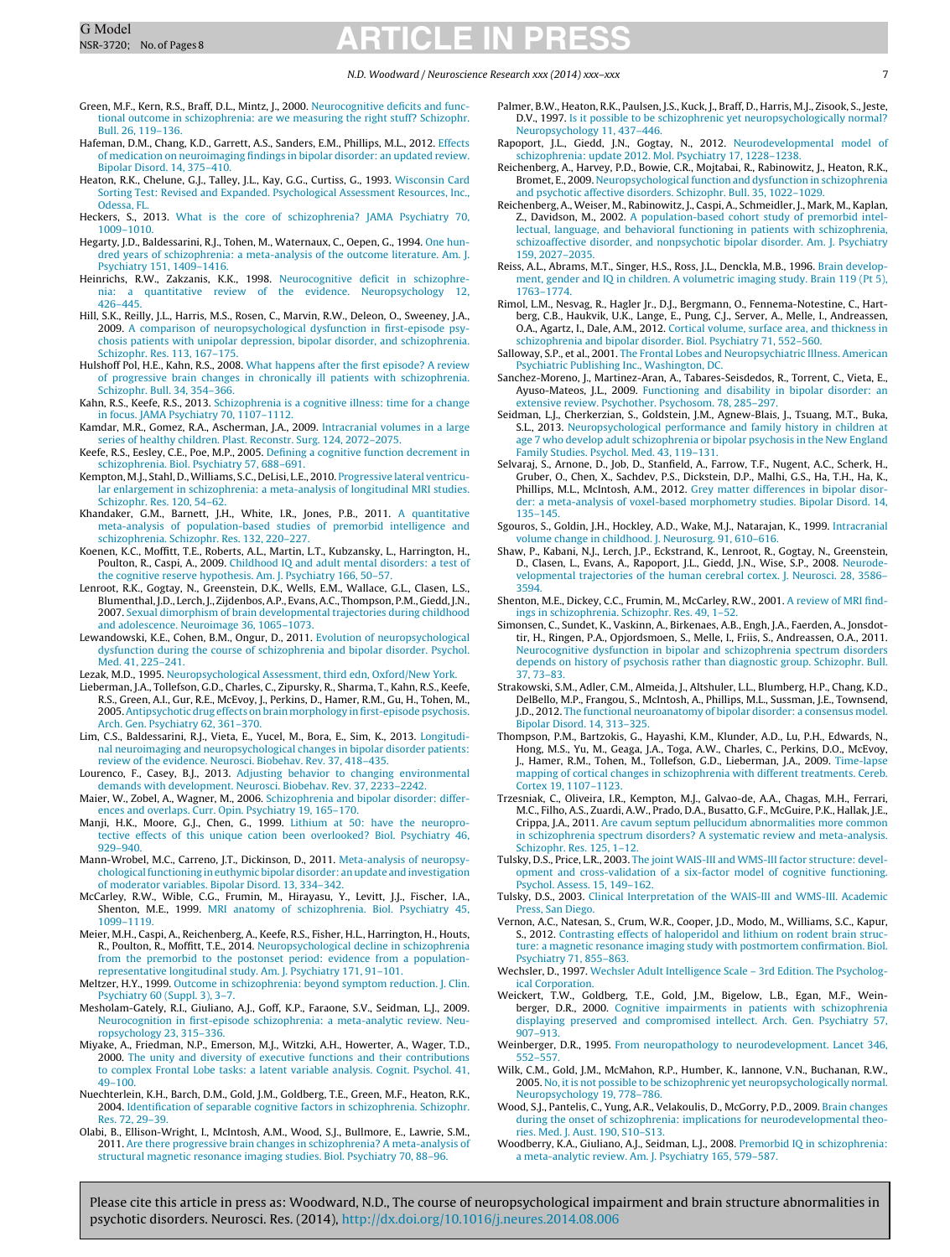#### N.D. Woodward / Neuroscience Research xxx (2014) xxx–xxx 7

- <span id="page-6-0"></span>Green, M.F., Kern, R.S., Braff, D.L., Mintz, J., 2000. [Neurocognitive](http://refhub.elsevier.com/S0168-0102(14)00182-5/sbref0155) [deficits](http://refhub.elsevier.com/S0168-0102(14)00182-5/sbref0155) [and](http://refhub.elsevier.com/S0168-0102(14)00182-5/sbref0155) [func](http://refhub.elsevier.com/S0168-0102(14)00182-5/sbref0155)[tional](http://refhub.elsevier.com/S0168-0102(14)00182-5/sbref0155) [outcome](http://refhub.elsevier.com/S0168-0102(14)00182-5/sbref0155) [in](http://refhub.elsevier.com/S0168-0102(14)00182-5/sbref0155) [schizophrenia:](http://refhub.elsevier.com/S0168-0102(14)00182-5/sbref0155) [are](http://refhub.elsevier.com/S0168-0102(14)00182-5/sbref0155) [we](http://refhub.elsevier.com/S0168-0102(14)00182-5/sbref0155) [measuring](http://refhub.elsevier.com/S0168-0102(14)00182-5/sbref0155) [the](http://refhub.elsevier.com/S0168-0102(14)00182-5/sbref0155) [right](http://refhub.elsevier.com/S0168-0102(14)00182-5/sbref0155) [stuff?](http://refhub.elsevier.com/S0168-0102(14)00182-5/sbref0155) [Schizophr.](http://refhub.elsevier.com/S0168-0102(14)00182-5/sbref0155) [Bull.](http://refhub.elsevier.com/S0168-0102(14)00182-5/sbref0155) [26,](http://refhub.elsevier.com/S0168-0102(14)00182-5/sbref0155) [119](http://refhub.elsevier.com/S0168-0102(14)00182-5/sbref0155)–[136.](http://refhub.elsevier.com/S0168-0102(14)00182-5/sbref0155)
- Hafeman, D.M., Chang, K.D., Garrett, A.S., Sanders, E.M., Phillips, M.L., 2012. [Effects](http://refhub.elsevier.com/S0168-0102(14)00182-5/sbref0160) [of](http://refhub.elsevier.com/S0168-0102(14)00182-5/sbref0160) [medication](http://refhub.elsevier.com/S0168-0102(14)00182-5/sbref0160) [on](http://refhub.elsevier.com/S0168-0102(14)00182-5/sbref0160) [neuroimaging](http://refhub.elsevier.com/S0168-0102(14)00182-5/sbref0160) [findings](http://refhub.elsevier.com/S0168-0102(14)00182-5/sbref0160) [in](http://refhub.elsevier.com/S0168-0102(14)00182-5/sbref0160) [bipolar](http://refhub.elsevier.com/S0168-0102(14)00182-5/sbref0160) [disorder:](http://refhub.elsevier.com/S0168-0102(14)00182-5/sbref0160) [an](http://refhub.elsevier.com/S0168-0102(14)00182-5/sbref0160) [updated](http://refhub.elsevier.com/S0168-0102(14)00182-5/sbref0160) [review.](http://refhub.elsevier.com/S0168-0102(14)00182-5/sbref0160) [Bipolar](http://refhub.elsevier.com/S0168-0102(14)00182-5/sbref0160) [Disord.](http://refhub.elsevier.com/S0168-0102(14)00182-5/sbref0160) [14,](http://refhub.elsevier.com/S0168-0102(14)00182-5/sbref0160) [375–410.](http://refhub.elsevier.com/S0168-0102(14)00182-5/sbref0160)
- Heaton, R.K., Chelune, G.J., Talley, J.L., Kay, G.G., Curtiss, G., 1993. [Wisconsin](http://refhub.elsevier.com/S0168-0102(14)00182-5/sbref0165) [Card](http://refhub.elsevier.com/S0168-0102(14)00182-5/sbref0165) [Sorting](http://refhub.elsevier.com/S0168-0102(14)00182-5/sbref0165) [Test:](http://refhub.elsevier.com/S0168-0102(14)00182-5/sbref0165) [Revised](http://refhub.elsevier.com/S0168-0102(14)00182-5/sbref0165) [and](http://refhub.elsevier.com/S0168-0102(14)00182-5/sbref0165) [Expanded.](http://refhub.elsevier.com/S0168-0102(14)00182-5/sbref0165) [Psychological](http://refhub.elsevier.com/S0168-0102(14)00182-5/sbref0165) [Assessment](http://refhub.elsevier.com/S0168-0102(14)00182-5/sbref0165) [Resources,](http://refhub.elsevier.com/S0168-0102(14)00182-5/sbref0165) [Inc.,](http://refhub.elsevier.com/S0168-0102(14)00182-5/sbref0165) [Odessa,](http://refhub.elsevier.com/S0168-0102(14)00182-5/sbref0165) [FL.](http://refhub.elsevier.com/S0168-0102(14)00182-5/sbref0165)
- Heckers, S., 2013. [What](http://refhub.elsevier.com/S0168-0102(14)00182-5/sbref0170) [is](http://refhub.elsevier.com/S0168-0102(14)00182-5/sbref0170) [the](http://refhub.elsevier.com/S0168-0102(14)00182-5/sbref0170) [core](http://refhub.elsevier.com/S0168-0102(14)00182-5/sbref0170) [of](http://refhub.elsevier.com/S0168-0102(14)00182-5/sbref0170) [schizophrenia?](http://refhub.elsevier.com/S0168-0102(14)00182-5/sbref0170) [JAMA](http://refhub.elsevier.com/S0168-0102(14)00182-5/sbref0170) [Psychiatry](http://refhub.elsevier.com/S0168-0102(14)00182-5/sbref0170) [70,](http://refhub.elsevier.com/S0168-0102(14)00182-5/sbref0170) [1009–1010.](http://refhub.elsevier.com/S0168-0102(14)00182-5/sbref0170)
- Hegarty, J.D., Baldessarini, R.J., Tohen, M., Waternaux, C., Oepen, G., 1994. [One](http://refhub.elsevier.com/S0168-0102(14)00182-5/sbref0175) [hun](http://refhub.elsevier.com/S0168-0102(14)00182-5/sbref0175)[dred](http://refhub.elsevier.com/S0168-0102(14)00182-5/sbref0175) [years](http://refhub.elsevier.com/S0168-0102(14)00182-5/sbref0175) [of](http://refhub.elsevier.com/S0168-0102(14)00182-5/sbref0175) [schizophrenia:](http://refhub.elsevier.com/S0168-0102(14)00182-5/sbref0175) [a](http://refhub.elsevier.com/S0168-0102(14)00182-5/sbref0175) [meta-analysis](http://refhub.elsevier.com/S0168-0102(14)00182-5/sbref0175) [of](http://refhub.elsevier.com/S0168-0102(14)00182-5/sbref0175) [the](http://refhub.elsevier.com/S0168-0102(14)00182-5/sbref0175) [outcome](http://refhub.elsevier.com/S0168-0102(14)00182-5/sbref0175) [literature.](http://refhub.elsevier.com/S0168-0102(14)00182-5/sbref0175) [Am.](http://refhub.elsevier.com/S0168-0102(14)00182-5/sbref0175) [J.](http://refhub.elsevier.com/S0168-0102(14)00182-5/sbref0175) [Psychiatry](http://refhub.elsevier.com/S0168-0102(14)00182-5/sbref0175) [151,](http://refhub.elsevier.com/S0168-0102(14)00182-5/sbref0175) 1409-1416
- Heinrichs, R.W., Zakzanis, K.K., 1998. [Neurocognitive](http://refhub.elsevier.com/S0168-0102(14)00182-5/sbref0180) [deficit](http://refhub.elsevier.com/S0168-0102(14)00182-5/sbref0180) [in](http://refhub.elsevier.com/S0168-0102(14)00182-5/sbref0180) schizophre-<br>nia: a quantitative review of the evidence. Neuropsychology 12. [a](http://refhub.elsevier.com/S0168-0102(14)00182-5/sbref0180) [quantitative](http://refhub.elsevier.com/S0168-0102(14)00182-5/sbref0180) [review](http://refhub.elsevier.com/S0168-0102(14)00182-5/sbref0180) [of](http://refhub.elsevier.com/S0168-0102(14)00182-5/sbref0180) [the](http://refhub.elsevier.com/S0168-0102(14)00182-5/sbref0180) [evidence.](http://refhub.elsevier.com/S0168-0102(14)00182-5/sbref0180) [Neuropsychology](http://refhub.elsevier.com/S0168-0102(14)00182-5/sbref0180) [12,](http://refhub.elsevier.com/S0168-0102(14)00182-5/sbref0180) [426–445.](http://refhub.elsevier.com/S0168-0102(14)00182-5/sbref0180)
- Hill, S.K., Reilly, J.L., Harris, M.S., Rosen, C., Marvin, R.W., Deleon, O., Sweeney, J.A., 2009. [A](http://refhub.elsevier.com/S0168-0102(14)00182-5/sbref0185) [comparison](http://refhub.elsevier.com/S0168-0102(14)00182-5/sbref0185) [of](http://refhub.elsevier.com/S0168-0102(14)00182-5/sbref0185) [neuropsychological](http://refhub.elsevier.com/S0168-0102(14)00182-5/sbref0185) [dysfunction](http://refhub.elsevier.com/S0168-0102(14)00182-5/sbref0185) [in](http://refhub.elsevier.com/S0168-0102(14)00182-5/sbref0185) [first-episode](http://refhub.elsevier.com/S0168-0102(14)00182-5/sbref0185) [psy](http://refhub.elsevier.com/S0168-0102(14)00182-5/sbref0185)[chosis](http://refhub.elsevier.com/S0168-0102(14)00182-5/sbref0185) [patients](http://refhub.elsevier.com/S0168-0102(14)00182-5/sbref0185) [with](http://refhub.elsevier.com/S0168-0102(14)00182-5/sbref0185) [unipolar](http://refhub.elsevier.com/S0168-0102(14)00182-5/sbref0185) [depression,](http://refhub.elsevier.com/S0168-0102(14)00182-5/sbref0185) [bipolar](http://refhub.elsevier.com/S0168-0102(14)00182-5/sbref0185) [disorder,](http://refhub.elsevier.com/S0168-0102(14)00182-5/sbref0185) [and](http://refhub.elsevier.com/S0168-0102(14)00182-5/sbref0185) [schizophrenia.](http://refhub.elsevier.com/S0168-0102(14)00182-5/sbref0185) [Schizophr.](http://refhub.elsevier.com/S0168-0102(14)00182-5/sbref0185) [Res.](http://refhub.elsevier.com/S0168-0102(14)00182-5/sbref0185) [113,](http://refhub.elsevier.com/S0168-0102(14)00182-5/sbref0185) [167–175.](http://refhub.elsevier.com/S0168-0102(14)00182-5/sbref0185)
- Hulshoff Pol, H.E., Kahn, R.S., 2008. [What](http://refhub.elsevier.com/S0168-0102(14)00182-5/sbref0190) [happens](http://refhub.elsevier.com/S0168-0102(14)00182-5/sbref0190) [after](http://refhub.elsevier.com/S0168-0102(14)00182-5/sbref0190) [the](http://refhub.elsevier.com/S0168-0102(14)00182-5/sbref0190) [first](http://refhub.elsevier.com/S0168-0102(14)00182-5/sbref0190) [episode?](http://refhub.elsevier.com/S0168-0102(14)00182-5/sbref0190) [A](http://refhub.elsevier.com/S0168-0102(14)00182-5/sbref0190) [review](http://refhub.elsevier.com/S0168-0102(14)00182-5/sbref0190) [of](http://refhub.elsevier.com/S0168-0102(14)00182-5/sbref0190) [progressive](http://refhub.elsevier.com/S0168-0102(14)00182-5/sbref0190) [brain](http://refhub.elsevier.com/S0168-0102(14)00182-5/sbref0190) [changes](http://refhub.elsevier.com/S0168-0102(14)00182-5/sbref0190) [in](http://refhub.elsevier.com/S0168-0102(14)00182-5/sbref0190) [chronically](http://refhub.elsevier.com/S0168-0102(14)00182-5/sbref0190) [ill](http://refhub.elsevier.com/S0168-0102(14)00182-5/sbref0190) [patients](http://refhub.elsevier.com/S0168-0102(14)00182-5/sbref0190) [with](http://refhub.elsevier.com/S0168-0102(14)00182-5/sbref0190) [schizophrenia.](http://refhub.elsevier.com/S0168-0102(14)00182-5/sbref0190) [Schizophr.](http://refhub.elsevier.com/S0168-0102(14)00182-5/sbref0190) [Bull.](http://refhub.elsevier.com/S0168-0102(14)00182-5/sbref0190) [34,](http://refhub.elsevier.com/S0168-0102(14)00182-5/sbref0190) [354–366.](http://refhub.elsevier.com/S0168-0102(14)00182-5/sbref0190)
- Kahn, R.S., Keefe, R.S., 2013. [Schizophrenia](http://refhub.elsevier.com/S0168-0102(14)00182-5/sbref0195) [is](http://refhub.elsevier.com/S0168-0102(14)00182-5/sbref0195) [a](http://refhub.elsevier.com/S0168-0102(14)00182-5/sbref0195) [cognitive](http://refhub.elsevier.com/S0168-0102(14)00182-5/sbref0195) [illness:](http://refhub.elsevier.com/S0168-0102(14)00182-5/sbref0195) [time](http://refhub.elsevier.com/S0168-0102(14)00182-5/sbref0195) [for](http://refhub.elsevier.com/S0168-0102(14)00182-5/sbref0195) [a](http://refhub.elsevier.com/S0168-0102(14)00182-5/sbref0195) [change](http://refhub.elsevier.com/S0168-0102(14)00182-5/sbref0195) [in](http://refhub.elsevier.com/S0168-0102(14)00182-5/sbref0195) [focus.](http://refhub.elsevier.com/S0168-0102(14)00182-5/sbref0195) [JAMA](http://refhub.elsevier.com/S0168-0102(14)00182-5/sbref0195) [Psychiatry](http://refhub.elsevier.com/S0168-0102(14)00182-5/sbref0195) [70,](http://refhub.elsevier.com/S0168-0102(14)00182-5/sbref0195) [1107–1112.](http://refhub.elsevier.com/S0168-0102(14)00182-5/sbref0195)
- Kamdar, M.R., Gomez, R.A., Ascherman, J.A., 2009. [Intracranial](http://refhub.elsevier.com/S0168-0102(14)00182-5/sbref0200) [volumes](http://refhub.elsevier.com/S0168-0102(14)00182-5/sbref0200) [in](http://refhub.elsevier.com/S0168-0102(14)00182-5/sbref0200) [a](http://refhub.elsevier.com/S0168-0102(14)00182-5/sbref0200) [large](http://refhub.elsevier.com/S0168-0102(14)00182-5/sbref0200) [series](http://refhub.elsevier.com/S0168-0102(14)00182-5/sbref0200) [of](http://refhub.elsevier.com/S0168-0102(14)00182-5/sbref0200) [healthy](http://refhub.elsevier.com/S0168-0102(14)00182-5/sbref0200) [children.](http://refhub.elsevier.com/S0168-0102(14)00182-5/sbref0200) [Plast.](http://refhub.elsevier.com/S0168-0102(14)00182-5/sbref0200) [Reconstr.](http://refhub.elsevier.com/S0168-0102(14)00182-5/sbref0200) [Surg.](http://refhub.elsevier.com/S0168-0102(14)00182-5/sbref0200) [124,](http://refhub.elsevier.com/S0168-0102(14)00182-5/sbref0200) [2072](http://refhub.elsevier.com/S0168-0102(14)00182-5/sbref0200)–[2075.](http://refhub.elsevier.com/S0168-0102(14)00182-5/sbref0200)
- Keefe, R.S., Eesley, C.E., Poe, M.P., 2005. [Defining](http://refhub.elsevier.com/S0168-0102(14)00182-5/sbref0205) [a](http://refhub.elsevier.com/S0168-0102(14)00182-5/sbref0205) [cognitive](http://refhub.elsevier.com/S0168-0102(14)00182-5/sbref0205) [function](http://refhub.elsevier.com/S0168-0102(14)00182-5/sbref0205) [decrement](http://refhub.elsevier.com/S0168-0102(14)00182-5/sbref0205) [in](http://refhub.elsevier.com/S0168-0102(14)00182-5/sbref0205) [schizophrenia.](http://refhub.elsevier.com/S0168-0102(14)00182-5/sbref0205) [Biol.](http://refhub.elsevier.com/S0168-0102(14)00182-5/sbref0205) [Psychiatry](http://refhub.elsevier.com/S0168-0102(14)00182-5/sbref0205) [57,](http://refhub.elsevier.com/S0168-0102(14)00182-5/sbref0205) [688](http://refhub.elsevier.com/S0168-0102(14)00182-5/sbref0205)–[691.](http://refhub.elsevier.com/S0168-0102(14)00182-5/sbref0205)
- Kempton, M.J., Stahl, D.,Williams, S.C., DeLisi, L.E., 2010. [Progressive](http://refhub.elsevier.com/S0168-0102(14)00182-5/sbref0210) [lateral](http://refhub.elsevier.com/S0168-0102(14)00182-5/sbref0210) [ventricu](http://refhub.elsevier.com/S0168-0102(14)00182-5/sbref0210)[lar](http://refhub.elsevier.com/S0168-0102(14)00182-5/sbref0210) [enlargement](http://refhub.elsevier.com/S0168-0102(14)00182-5/sbref0210) [in](http://refhub.elsevier.com/S0168-0102(14)00182-5/sbref0210) [schizophrenia:](http://refhub.elsevier.com/S0168-0102(14)00182-5/sbref0210) [a](http://refhub.elsevier.com/S0168-0102(14)00182-5/sbref0210) [meta-analysis](http://refhub.elsevier.com/S0168-0102(14)00182-5/sbref0210) [of](http://refhub.elsevier.com/S0168-0102(14)00182-5/sbref0210) [longitudinal](http://refhub.elsevier.com/S0168-0102(14)00182-5/sbref0210) [MRI](http://refhub.elsevier.com/S0168-0102(14)00182-5/sbref0210) [studies.](http://refhub.elsevier.com/S0168-0102(14)00182-5/sbref0210) [Schizophr.](http://refhub.elsevier.com/S0168-0102(14)00182-5/sbref0210) [Res.](http://refhub.elsevier.com/S0168-0102(14)00182-5/sbref0210) [120,](http://refhub.elsevier.com/S0168-0102(14)00182-5/sbref0210) [54](http://refhub.elsevier.com/S0168-0102(14)00182-5/sbref0210)–[62.](http://refhub.elsevier.com/S0168-0102(14)00182-5/sbref0210)
- Khandaker, G.M., Barnett, J.H., White, I.R., Jones, P.B., 2011. [A](http://refhub.elsevier.com/S0168-0102(14)00182-5/sbref0215) [quantitative](http://refhub.elsevier.com/S0168-0102(14)00182-5/sbref0215) [meta-analysis](http://refhub.elsevier.com/S0168-0102(14)00182-5/sbref0215) [of](http://refhub.elsevier.com/S0168-0102(14)00182-5/sbref0215) [population-based](http://refhub.elsevier.com/S0168-0102(14)00182-5/sbref0215) [studies](http://refhub.elsevier.com/S0168-0102(14)00182-5/sbref0215) [of](http://refhub.elsevier.com/S0168-0102(14)00182-5/sbref0215) [premorbid](http://refhub.elsevier.com/S0168-0102(14)00182-5/sbref0215) [intelligence](http://refhub.elsevier.com/S0168-0102(14)00182-5/sbref0215) [and](http://refhub.elsevier.com/S0168-0102(14)00182-5/sbref0215) [schizophrenia.](http://refhub.elsevier.com/S0168-0102(14)00182-5/sbref0215) [Schizophr.](http://refhub.elsevier.com/S0168-0102(14)00182-5/sbref0215) [Res.](http://refhub.elsevier.com/S0168-0102(14)00182-5/sbref0215) [132,](http://refhub.elsevier.com/S0168-0102(14)00182-5/sbref0215) [220–227.](http://refhub.elsevier.com/S0168-0102(14)00182-5/sbref0215)
- Koenen, K.C., Moffitt, T.E., Roberts, A.L., Martin, L.T., Kubzansky, L., Harrington, H., Poulton, R., Caspi, A., 2009. [Childhood](http://refhub.elsevier.com/S0168-0102(14)00182-5/sbref0220) [IQ](http://refhub.elsevier.com/S0168-0102(14)00182-5/sbref0220) [and](http://refhub.elsevier.com/S0168-0102(14)00182-5/sbref0220) [adult](http://refhub.elsevier.com/S0168-0102(14)00182-5/sbref0220) [mental](http://refhub.elsevier.com/S0168-0102(14)00182-5/sbref0220) [disorders:](http://refhub.elsevier.com/S0168-0102(14)00182-5/sbref0220) [a](http://refhub.elsevier.com/S0168-0102(14)00182-5/sbref0220) [test](http://refhub.elsevier.com/S0168-0102(14)00182-5/sbref0220) [of](http://refhub.elsevier.com/S0168-0102(14)00182-5/sbref0220) [the](http://refhub.elsevier.com/S0168-0102(14)00182-5/sbref0220) [cognitive](http://refhub.elsevier.com/S0168-0102(14)00182-5/sbref0220) [reserve](http://refhub.elsevier.com/S0168-0102(14)00182-5/sbref0220) [hypothesis.](http://refhub.elsevier.com/S0168-0102(14)00182-5/sbref0220) [Am.](http://refhub.elsevier.com/S0168-0102(14)00182-5/sbref0220) [J.](http://refhub.elsevier.com/S0168-0102(14)00182-5/sbref0220) [Psychiatry](http://refhub.elsevier.com/S0168-0102(14)00182-5/sbref0220) [166,](http://refhub.elsevier.com/S0168-0102(14)00182-5/sbref0220) [50](http://refhub.elsevier.com/S0168-0102(14)00182-5/sbref0220)–[57.](http://refhub.elsevier.com/S0168-0102(14)00182-5/sbref0220)
- Lenroot, R.K., Gogtay, N., Greenstein, D.K., Wells, E.M., Wallace, G.L., Clasen, L.S., Blumenthal, J.D., Lerch, J., Zijdenbos,A.P., Evans,A.C., Thompson, P.M., Giedd, J.N., 2007. [Sexual](http://refhub.elsevier.com/S0168-0102(14)00182-5/sbref0225) [dimorphism](http://refhub.elsevier.com/S0168-0102(14)00182-5/sbref0225) [of](http://refhub.elsevier.com/S0168-0102(14)00182-5/sbref0225) [brain](http://refhub.elsevier.com/S0168-0102(14)00182-5/sbref0225) [developmental](http://refhub.elsevier.com/S0168-0102(14)00182-5/sbref0225) [trajectories](http://refhub.elsevier.com/S0168-0102(14)00182-5/sbref0225) [during](http://refhub.elsevier.com/S0168-0102(14)00182-5/sbref0225) [childhood](http://refhub.elsevier.com/S0168-0102(14)00182-5/sbref0225) [and](http://refhub.elsevier.com/S0168-0102(14)00182-5/sbref0225) [adolescence.](http://refhub.elsevier.com/S0168-0102(14)00182-5/sbref0225) [Neuroimage](http://refhub.elsevier.com/S0168-0102(14)00182-5/sbref0225) [36,](http://refhub.elsevier.com/S0168-0102(14)00182-5/sbref0225) [1065–1073.](http://refhub.elsevier.com/S0168-0102(14)00182-5/sbref0225)
- Lewandowski, K.E., Cohen, B.M., Ongur, D., 2011. [Evolution](http://refhub.elsevier.com/S0168-0102(14)00182-5/sbref0230) [of](http://refhub.elsevier.com/S0168-0102(14)00182-5/sbref0230) [neuropsychological](http://refhub.elsevier.com/S0168-0102(14)00182-5/sbref0230) [dysfunction](http://refhub.elsevier.com/S0168-0102(14)00182-5/sbref0230) [during](http://refhub.elsevier.com/S0168-0102(14)00182-5/sbref0230) [the](http://refhub.elsevier.com/S0168-0102(14)00182-5/sbref0230) [course](http://refhub.elsevier.com/S0168-0102(14)00182-5/sbref0230) [of](http://refhub.elsevier.com/S0168-0102(14)00182-5/sbref0230) [schizophrenia](http://refhub.elsevier.com/S0168-0102(14)00182-5/sbref0230) [and](http://refhub.elsevier.com/S0168-0102(14)00182-5/sbref0230) [bipolar](http://refhub.elsevier.com/S0168-0102(14)00182-5/sbref0230) [disorder.](http://refhub.elsevier.com/S0168-0102(14)00182-5/sbref0230) [Psychol.](http://refhub.elsevier.com/S0168-0102(14)00182-5/sbref0230) [Med.](http://refhub.elsevier.com/S0168-0102(14)00182-5/sbref0230) [41,](http://refhub.elsevier.com/S0168-0102(14)00182-5/sbref0230) [225–241.](http://refhub.elsevier.com/S0168-0102(14)00182-5/sbref0230)
- Lezak, M.D., 1995. [Neuropsychological](http://refhub.elsevier.com/S0168-0102(14)00182-5/sbref0235) [Assessment,](http://refhub.elsevier.com/S0168-0102(14)00182-5/sbref0235) [third](http://refhub.elsevier.com/S0168-0102(14)00182-5/sbref0235) [edn,](http://refhub.elsevier.com/S0168-0102(14)00182-5/sbref0235) [Oxford/New](http://refhub.elsevier.com/S0168-0102(14)00182-5/sbref0235) [York.](http://refhub.elsevier.com/S0168-0102(14)00182-5/sbref0235)
- Lieberman, J.A., Tollefson, G.D., Charles, C., Zipursky, R., Sharma, T., Kahn, R.S., Keefe, R.S., Green, A.I., Gur, R.E., McEvoy, J., Perkins, D., Hamer, R.M., Gu, H., Tohen, M., 2005.[Antipsychotic](http://refhub.elsevier.com/S0168-0102(14)00182-5/sbref0240) [drug](http://refhub.elsevier.com/S0168-0102(14)00182-5/sbref0240) [effects](http://refhub.elsevier.com/S0168-0102(14)00182-5/sbref0240) [on](http://refhub.elsevier.com/S0168-0102(14)00182-5/sbref0240) [brain](http://refhub.elsevier.com/S0168-0102(14)00182-5/sbref0240) [morphology](http://refhub.elsevier.com/S0168-0102(14)00182-5/sbref0240) [in](http://refhub.elsevier.com/S0168-0102(14)00182-5/sbref0240) [first-episode](http://refhub.elsevier.com/S0168-0102(14)00182-5/sbref0240) [psychosis.](http://refhub.elsevier.com/S0168-0102(14)00182-5/sbref0240) [Arch.](http://refhub.elsevier.com/S0168-0102(14)00182-5/sbref0240) [Gen.](http://refhub.elsevier.com/S0168-0102(14)00182-5/sbref0240) [Psychiatry](http://refhub.elsevier.com/S0168-0102(14)00182-5/sbref0240) [62,](http://refhub.elsevier.com/S0168-0102(14)00182-5/sbref0240) [361–370.](http://refhub.elsevier.com/S0168-0102(14)00182-5/sbref0240)
- Lim, C.S., Baldessarini, R.J., Vieta, E., Yucel, M., Bora, E., Sim, K., 2013. [Longitudi](http://refhub.elsevier.com/S0168-0102(14)00182-5/sbref0245)[nal](http://refhub.elsevier.com/S0168-0102(14)00182-5/sbref0245) [neuroimaging](http://refhub.elsevier.com/S0168-0102(14)00182-5/sbref0245) [and](http://refhub.elsevier.com/S0168-0102(14)00182-5/sbref0245) [neuropsychological](http://refhub.elsevier.com/S0168-0102(14)00182-5/sbref0245) [changes](http://refhub.elsevier.com/S0168-0102(14)00182-5/sbref0245) [in](http://refhub.elsevier.com/S0168-0102(14)00182-5/sbref0245) [bipolar](http://refhub.elsevier.com/S0168-0102(14)00182-5/sbref0245) [disorder](http://refhub.elsevier.com/S0168-0102(14)00182-5/sbref0245) [patients:](http://refhub.elsevier.com/S0168-0102(14)00182-5/sbref0245) [review](http://refhub.elsevier.com/S0168-0102(14)00182-5/sbref0245) [of](http://refhub.elsevier.com/S0168-0102(14)00182-5/sbref0245) [the](http://refhub.elsevier.com/S0168-0102(14)00182-5/sbref0245) [evidence.](http://refhub.elsevier.com/S0168-0102(14)00182-5/sbref0245) [Neurosci.](http://refhub.elsevier.com/S0168-0102(14)00182-5/sbref0245) [Biobehav.](http://refhub.elsevier.com/S0168-0102(14)00182-5/sbref0245) [Rev.](http://refhub.elsevier.com/S0168-0102(14)00182-5/sbref0245) [37,](http://refhub.elsevier.com/S0168-0102(14)00182-5/sbref0245) [418–435.](http://refhub.elsevier.com/S0168-0102(14)00182-5/sbref0245)
- Lourenco, F., Casey, B.J., 2013. [Adjusting](http://refhub.elsevier.com/S0168-0102(14)00182-5/sbref0250) [behavior](http://refhub.elsevier.com/S0168-0102(14)00182-5/sbref0250) [to](http://refhub.elsevier.com/S0168-0102(14)00182-5/sbref0250) [changing](http://refhub.elsevier.com/S0168-0102(14)00182-5/sbref0250) [environmental](http://refhub.elsevier.com/S0168-0102(14)00182-5/sbref0250) [demands](http://refhub.elsevier.com/S0168-0102(14)00182-5/sbref0250) [with](http://refhub.elsevier.com/S0168-0102(14)00182-5/sbref0250) [development.](http://refhub.elsevier.com/S0168-0102(14)00182-5/sbref0250) [Neurosci.](http://refhub.elsevier.com/S0168-0102(14)00182-5/sbref0250) [Biobehav.](http://refhub.elsevier.com/S0168-0102(14)00182-5/sbref0250) [Rev.](http://refhub.elsevier.com/S0168-0102(14)00182-5/sbref0250) [37,](http://refhub.elsevier.com/S0168-0102(14)00182-5/sbref0250) [2233–2242.](http://refhub.elsevier.com/S0168-0102(14)00182-5/sbref0250)
- Maier, W., Zobel, A., Wagner, M., 2006. [Schizophrenia](http://refhub.elsevier.com/S0168-0102(14)00182-5/sbref0255) [and](http://refhub.elsevier.com/S0168-0102(14)00182-5/sbref0255) [bipolar](http://refhub.elsevier.com/S0168-0102(14)00182-5/sbref0255) [disorder:](http://refhub.elsevier.com/S0168-0102(14)00182-5/sbref0255) [differ](http://refhub.elsevier.com/S0168-0102(14)00182-5/sbref0255)[ences](http://refhub.elsevier.com/S0168-0102(14)00182-5/sbref0255) [and](http://refhub.elsevier.com/S0168-0102(14)00182-5/sbref0255) [overlaps.](http://refhub.elsevier.com/S0168-0102(14)00182-5/sbref0255) [Curr.](http://refhub.elsevier.com/S0168-0102(14)00182-5/sbref0255) [Opin.](http://refhub.elsevier.com/S0168-0102(14)00182-5/sbref0255) [Psychiatry](http://refhub.elsevier.com/S0168-0102(14)00182-5/sbref0255) [19,](http://refhub.elsevier.com/S0168-0102(14)00182-5/sbref0255) [165–170.](http://refhub.elsevier.com/S0168-0102(14)00182-5/sbref0255)
- Manji, H.K., Moore, G.J., Chen, G., 1999. [Lithium](http://refhub.elsevier.com/S0168-0102(14)00182-5/sbref0260) [at](http://refhub.elsevier.com/S0168-0102(14)00182-5/sbref0260) [50:](http://refhub.elsevier.com/S0168-0102(14)00182-5/sbref0260) [have](http://refhub.elsevier.com/S0168-0102(14)00182-5/sbref0260) [the](http://refhub.elsevier.com/S0168-0102(14)00182-5/sbref0260) [neuropro](http://refhub.elsevier.com/S0168-0102(14)00182-5/sbref0260)[tective](http://refhub.elsevier.com/S0168-0102(14)00182-5/sbref0260) [effects](http://refhub.elsevier.com/S0168-0102(14)00182-5/sbref0260) [of](http://refhub.elsevier.com/S0168-0102(14)00182-5/sbref0260) [this](http://refhub.elsevier.com/S0168-0102(14)00182-5/sbref0260) [unique](http://refhub.elsevier.com/S0168-0102(14)00182-5/sbref0260) [cation](http://refhub.elsevier.com/S0168-0102(14)00182-5/sbref0260) [been](http://refhub.elsevier.com/S0168-0102(14)00182-5/sbref0260) [overlooked?](http://refhub.elsevier.com/S0168-0102(14)00182-5/sbref0260) [Biol.](http://refhub.elsevier.com/S0168-0102(14)00182-5/sbref0260) [Psychiatry](http://refhub.elsevier.com/S0168-0102(14)00182-5/sbref0260) [46,](http://refhub.elsevier.com/S0168-0102(14)00182-5/sbref0260) [929–940.](http://refhub.elsevier.com/S0168-0102(14)00182-5/sbref0260)
- Mann-Wrobel, M.C., Carreno, J.T., Dickinson, D., 2011. [Meta-analysis](http://refhub.elsevier.com/S0168-0102(14)00182-5/sbref0265) [of](http://refhub.elsevier.com/S0168-0102(14)00182-5/sbref0265) [neuropsy](http://refhub.elsevier.com/S0168-0102(14)00182-5/sbref0265)chological function[in](http://refhub.elsevier.com/S0168-0102(14)00182-5/sbref0265)g in [euthymic](http://refhub.elsevier.com/S0168-0102(14)00182-5/sbref0265) [bipolar](http://refhub.elsevier.com/S0168-0102(14)00182-5/sbref0265) [disorder:](http://refhub.elsevier.com/S0168-0102(14)00182-5/sbref0265) [an](http://refhub.elsevier.com/S0168-0102(14)00182-5/sbref0265) [update](http://refhub.elsevier.com/S0168-0102(14)00182-5/sbref0265) [and](http://refhub.elsevier.com/S0168-0102(14)00182-5/sbref0265) [investigation](http://refhub.elsevier.com/S0168-0102(14)00182-5/sbref0265) [of](http://refhub.elsevier.com/S0168-0102(14)00182-5/sbref0265) [moderator](http://refhub.elsevier.com/S0168-0102(14)00182-5/sbref0265) [variables.](http://refhub.elsevier.com/S0168-0102(14)00182-5/sbref0265) [Bipolar](http://refhub.elsevier.com/S0168-0102(14)00182-5/sbref0265) [Disord.](http://refhub.elsevier.com/S0168-0102(14)00182-5/sbref0265) [13,](http://refhub.elsevier.com/S0168-0102(14)00182-5/sbref0265) [334–342.](http://refhub.elsevier.com/S0168-0102(14)00182-5/sbref0265)
- McCarley, R.W., Wible, C.G., Frumin, M., Hirayasu, Y., Levitt, J.J., Fischer, I.A., Shenton, M.E., 1999. [MRI](http://refhub.elsevier.com/S0168-0102(14)00182-5/sbref0270) [anatomy](http://refhub.elsevier.com/S0168-0102(14)00182-5/sbref0270) [of](http://refhub.elsevier.com/S0168-0102(14)00182-5/sbref0270) [schizophrenia.](http://refhub.elsevier.com/S0168-0102(14)00182-5/sbref0270) [Biol.](http://refhub.elsevier.com/S0168-0102(14)00182-5/sbref0270) [Psychiatry](http://refhub.elsevier.com/S0168-0102(14)00182-5/sbref0270) [45,](http://refhub.elsevier.com/S0168-0102(14)00182-5/sbref0270) [1099](http://refhub.elsevier.com/S0168-0102(14)00182-5/sbref0270)–[1119.](http://refhub.elsevier.com/S0168-0102(14)00182-5/sbref0270)
- Meier, M.H., Caspi, A., Reichenberg, A., Keefe, R.S., Fisher, H.L., Harrington, H., Houts, R., Poulton, R., Moffitt, T.E., 2014. [Neuropsychological](http://refhub.elsevier.com/S0168-0102(14)00182-5/sbref0275) [decline](http://refhub.elsevier.com/S0168-0102(14)00182-5/sbref0275) [in](http://refhub.elsevier.com/S0168-0102(14)00182-5/sbref0275) [schizophrenia](http://refhub.elsevier.com/S0168-0102(14)00182-5/sbref0275) [from](http://refhub.elsevier.com/S0168-0102(14)00182-5/sbref0275) [the](http://refhub.elsevier.com/S0168-0102(14)00182-5/sbref0275) [premorbid](http://refhub.elsevier.com/S0168-0102(14)00182-5/sbref0275) [to](http://refhub.elsevier.com/S0168-0102(14)00182-5/sbref0275) [the](http://refhub.elsevier.com/S0168-0102(14)00182-5/sbref0275) [postonset](http://refhub.elsevier.com/S0168-0102(14)00182-5/sbref0275) [period:](http://refhub.elsevier.com/S0168-0102(14)00182-5/sbref0275) [evidence](http://refhub.elsevier.com/S0168-0102(14)00182-5/sbref0275) [from](http://refhub.elsevier.com/S0168-0102(14)00182-5/sbref0275) [a](http://refhub.elsevier.com/S0168-0102(14)00182-5/sbref0275) [population](http://refhub.elsevier.com/S0168-0102(14)00182-5/sbref0275)[representative](http://refhub.elsevier.com/S0168-0102(14)00182-5/sbref0275) [longitudinal](http://refhub.elsevier.com/S0168-0102(14)00182-5/sbref0275) [study.](http://refhub.elsevier.com/S0168-0102(14)00182-5/sbref0275) [Am.](http://refhub.elsevier.com/S0168-0102(14)00182-5/sbref0275) [J.](http://refhub.elsevier.com/S0168-0102(14)00182-5/sbref0275) [Psychiatry](http://refhub.elsevier.com/S0168-0102(14)00182-5/sbref0275) [171,](http://refhub.elsevier.com/S0168-0102(14)00182-5/sbref0275) [91](http://refhub.elsevier.com/S0168-0102(14)00182-5/sbref0275)–[101.](http://refhub.elsevier.com/S0168-0102(14)00182-5/sbref0275)
- Meltzer, H.Y., 1999. [Outcome](http://refhub.elsevier.com/S0168-0102(14)00182-5/sbref0280) [in](http://refhub.elsevier.com/S0168-0102(14)00182-5/sbref0280) [schizophrenia:](http://refhub.elsevier.com/S0168-0102(14)00182-5/sbref0280) [beyond](http://refhub.elsevier.com/S0168-0102(14)00182-5/sbref0280) [symptom](http://refhub.elsevier.com/S0168-0102(14)00182-5/sbref0280) [reduction.](http://refhub.elsevier.com/S0168-0102(14)00182-5/sbref0280) [J.](http://refhub.elsevier.com/S0168-0102(14)00182-5/sbref0280) [Clin.](http://refhub.elsevier.com/S0168-0102(14)00182-5/sbref0280) [Psychiatry](http://refhub.elsevier.com/S0168-0102(14)00182-5/sbref0280) [60](http://refhub.elsevier.com/S0168-0102(14)00182-5/sbref0280) [\(Suppl.](http://refhub.elsevier.com/S0168-0102(14)00182-5/sbref0280) [3\),](http://refhub.elsevier.com/S0168-0102(14)00182-5/sbref0280) [3](http://refhub.elsevier.com/S0168-0102(14)00182-5/sbref0280)–[7.](http://refhub.elsevier.com/S0168-0102(14)00182-5/sbref0280)
- Mesholam-Gately, R.I., Giuliano, A.J., Goff, K.P., Faraone, S.V., Seidman, L.J., 2009. [Neurocognition](http://refhub.elsevier.com/S0168-0102(14)00182-5/sbref0285) [in](http://refhub.elsevier.com/S0168-0102(14)00182-5/sbref0285) [first-episode](http://refhub.elsevier.com/S0168-0102(14)00182-5/sbref0285) [schizophrenia:](http://refhub.elsevier.com/S0168-0102(14)00182-5/sbref0285) [a](http://refhub.elsevier.com/S0168-0102(14)00182-5/sbref0285) [meta-analytic](http://refhub.elsevier.com/S0168-0102(14)00182-5/sbref0285) [review.](http://refhub.elsevier.com/S0168-0102(14)00182-5/sbref0285) [Neu](http://refhub.elsevier.com/S0168-0102(14)00182-5/sbref0285)[ropsychology](http://refhub.elsevier.com/S0168-0102(14)00182-5/sbref0285) [23,](http://refhub.elsevier.com/S0168-0102(14)00182-5/sbref0285) [315](http://refhub.elsevier.com/S0168-0102(14)00182-5/sbref0285)–[336.](http://refhub.elsevier.com/S0168-0102(14)00182-5/sbref0285)
- Miyake, A., Friedman, N.P., Emerson, M.J., Witzki, A.H., Howerter, A., Wager, T.D., 2000. [The](http://refhub.elsevier.com/S0168-0102(14)00182-5/sbref0290) [unity](http://refhub.elsevier.com/S0168-0102(14)00182-5/sbref0290) [and](http://refhub.elsevier.com/S0168-0102(14)00182-5/sbref0290) [diversity](http://refhub.elsevier.com/S0168-0102(14)00182-5/sbref0290) [of](http://refhub.elsevier.com/S0168-0102(14)00182-5/sbref0290) [executive](http://refhub.elsevier.com/S0168-0102(14)00182-5/sbref0290) [functions](http://refhub.elsevier.com/S0168-0102(14)00182-5/sbref0290) [and](http://refhub.elsevier.com/S0168-0102(14)00182-5/sbref0290) [their](http://refhub.elsevier.com/S0168-0102(14)00182-5/sbref0290) [contributions](http://refhub.elsevier.com/S0168-0102(14)00182-5/sbref0290) [to](http://refhub.elsevier.com/S0168-0102(14)00182-5/sbref0290) [complex](http://refhub.elsevier.com/S0168-0102(14)00182-5/sbref0290) [Frontal](http://refhub.elsevier.com/S0168-0102(14)00182-5/sbref0290) [Lobe](http://refhub.elsevier.com/S0168-0102(14)00182-5/sbref0290) [tasks:](http://refhub.elsevier.com/S0168-0102(14)00182-5/sbref0290) [a](http://refhub.elsevier.com/S0168-0102(14)00182-5/sbref0290) [latent](http://refhub.elsevier.com/S0168-0102(14)00182-5/sbref0290) [variable](http://refhub.elsevier.com/S0168-0102(14)00182-5/sbref0290) [analysis.](http://refhub.elsevier.com/S0168-0102(14)00182-5/sbref0290) [Cognit.](http://refhub.elsevier.com/S0168-0102(14)00182-5/sbref0290) [Psychol.](http://refhub.elsevier.com/S0168-0102(14)00182-5/sbref0290) [41,](http://refhub.elsevier.com/S0168-0102(14)00182-5/sbref0290) [49–100.](http://refhub.elsevier.com/S0168-0102(14)00182-5/sbref0290)
- Nuechterlein, K.H., Barch, D.M., Gold, J.M., Goldberg, T.E., Green, M.F., Heaton, R.K., 2004. [Identification](http://refhub.elsevier.com/S0168-0102(14)00182-5/sbref0295) [of](http://refhub.elsevier.com/S0168-0102(14)00182-5/sbref0295) [separable](http://refhub.elsevier.com/S0168-0102(14)00182-5/sbref0295) [cognitive](http://refhub.elsevier.com/S0168-0102(14)00182-5/sbref0295) [factors](http://refhub.elsevier.com/S0168-0102(14)00182-5/sbref0295) [in](http://refhub.elsevier.com/S0168-0102(14)00182-5/sbref0295) [schizophrenia.](http://refhub.elsevier.com/S0168-0102(14)00182-5/sbref0295) [Schizophr.](http://refhub.elsevier.com/S0168-0102(14)00182-5/sbref0295) [Res.](http://refhub.elsevier.com/S0168-0102(14)00182-5/sbref0295) [72,](http://refhub.elsevier.com/S0168-0102(14)00182-5/sbref0295) [29–39.](http://refhub.elsevier.com/S0168-0102(14)00182-5/sbref0295)
- Olabi, B., Ellison-Wright, I., McIntosh, A.M., Wood, S.J., Bullmore, E., Lawrie, S.M., 2011. [Are](http://refhub.elsevier.com/S0168-0102(14)00182-5/sbref0300) [there](http://refhub.elsevier.com/S0168-0102(14)00182-5/sbref0300) [progressive](http://refhub.elsevier.com/S0168-0102(14)00182-5/sbref0300) [brain](http://refhub.elsevier.com/S0168-0102(14)00182-5/sbref0300) [changes](http://refhub.elsevier.com/S0168-0102(14)00182-5/sbref0300) [in](http://refhub.elsevier.com/S0168-0102(14)00182-5/sbref0300) [schizophrenia?](http://refhub.elsevier.com/S0168-0102(14)00182-5/sbref0300) [A](http://refhub.elsevier.com/S0168-0102(14)00182-5/sbref0300) [meta-analysis](http://refhub.elsevier.com/S0168-0102(14)00182-5/sbref0300) [of](http://refhub.elsevier.com/S0168-0102(14)00182-5/sbref0300) [structural](http://refhub.elsevier.com/S0168-0102(14)00182-5/sbref0300) [magnetic](http://refhub.elsevier.com/S0168-0102(14)00182-5/sbref0300) [resonance](http://refhub.elsevier.com/S0168-0102(14)00182-5/sbref0300) [imaging](http://refhub.elsevier.com/S0168-0102(14)00182-5/sbref0300) [studies.](http://refhub.elsevier.com/S0168-0102(14)00182-5/sbref0300) [Biol.](http://refhub.elsevier.com/S0168-0102(14)00182-5/sbref0300) [Psychiatry](http://refhub.elsevier.com/S0168-0102(14)00182-5/sbref0300) [70,](http://refhub.elsevier.com/S0168-0102(14)00182-5/sbref0300) [88–96.](http://refhub.elsevier.com/S0168-0102(14)00182-5/sbref0300)
- Palmer, B.W., Heaton, R.K., Paulsen, J.S., Kuck, J., Braff, D., Harris, M.J., Zisook, S., Jeste, D.V., 1997. [Is](http://refhub.elsevier.com/S0168-0102(14)00182-5/sbref0305) [it](http://refhub.elsevier.com/S0168-0102(14)00182-5/sbref0305) [possible](http://refhub.elsevier.com/S0168-0102(14)00182-5/sbref0305) [to](http://refhub.elsevier.com/S0168-0102(14)00182-5/sbref0305) [be](http://refhub.elsevier.com/S0168-0102(14)00182-5/sbref0305) [schizophrenic](http://refhub.elsevier.com/S0168-0102(14)00182-5/sbref0305) [yet](http://refhub.elsevier.com/S0168-0102(14)00182-5/sbref0305) [neuropsychologically](http://refhub.elsevier.com/S0168-0102(14)00182-5/sbref0305) [normal?](http://refhub.elsevier.com/S0168-0102(14)00182-5/sbref0305) [Neuropsychology](http://refhub.elsevier.com/S0168-0102(14)00182-5/sbref0305) [11,](http://refhub.elsevier.com/S0168-0102(14)00182-5/sbref0305) [437–446.](http://refhub.elsevier.com/S0168-0102(14)00182-5/sbref0305)
- Rapoport, J.L., Giedd, J.N., Gogtay, N., 2012. [Neurodevelopmental](http://refhub.elsevier.com/S0168-0102(14)00182-5/sbref0310) [model](http://refhub.elsevier.com/S0168-0102(14)00182-5/sbref0310) [of](http://refhub.elsevier.com/S0168-0102(14)00182-5/sbref0310) [schizophrenia:](http://refhub.elsevier.com/S0168-0102(14)00182-5/sbref0310) [update](http://refhub.elsevier.com/S0168-0102(14)00182-5/sbref0310) [2012.](http://refhub.elsevier.com/S0168-0102(14)00182-5/sbref0310) [Mol.](http://refhub.elsevier.com/S0168-0102(14)00182-5/sbref0310) [Psychiatry](http://refhub.elsevier.com/S0168-0102(14)00182-5/sbref0310) [17,](http://refhub.elsevier.com/S0168-0102(14)00182-5/sbref0310) [1228](http://refhub.elsevier.com/S0168-0102(14)00182-5/sbref0310)–[1238.](http://refhub.elsevier.com/S0168-0102(14)00182-5/sbref0310)
- Reichenberg, A., Harvey, P.D., Bowie, C.R., Mojtabai, R., Rabinowitz, J., Heaton, R.K., Bromet, E., 2009. [Neuropsychological](http://refhub.elsevier.com/S0168-0102(14)00182-5/sbref0315) [function](http://refhub.elsevier.com/S0168-0102(14)00182-5/sbref0315) [and](http://refhub.elsevier.com/S0168-0102(14)00182-5/sbref0315) [dysfunction](http://refhub.elsevier.com/S0168-0102(14)00182-5/sbref0315) [in](http://refhub.elsevier.com/S0168-0102(14)00182-5/sbref0315) [schizophrenia](http://refhub.elsevier.com/S0168-0102(14)00182-5/sbref0315) [and](http://refhub.elsevier.com/S0168-0102(14)00182-5/sbref0315) [psychotic](http://refhub.elsevier.com/S0168-0102(14)00182-5/sbref0315) [affective](http://refhub.elsevier.com/S0168-0102(14)00182-5/sbref0315) [disorders.](http://refhub.elsevier.com/S0168-0102(14)00182-5/sbref0315) [Schizophr.](http://refhub.elsevier.com/S0168-0102(14)00182-5/sbref0315) [Bull.](http://refhub.elsevier.com/S0168-0102(14)00182-5/sbref0315) [35,](http://refhub.elsevier.com/S0168-0102(14)00182-5/sbref0315) [1022](http://refhub.elsevier.com/S0168-0102(14)00182-5/sbref0315)–[1029.](http://refhub.elsevier.com/S0168-0102(14)00182-5/sbref0315)
- Reichenberg, A., Weiser, M., Rabinowitz, J., Caspi, A., Schmeidler, J., Mark, M., Kaplan, Z., Davidson, M., 2002. [A](http://refhub.elsevier.com/S0168-0102(14)00182-5/sbref0320) [population-based](http://refhub.elsevier.com/S0168-0102(14)00182-5/sbref0320) [cohort](http://refhub.elsevier.com/S0168-0102(14)00182-5/sbref0320) [study](http://refhub.elsevier.com/S0168-0102(14)00182-5/sbref0320) [of](http://refhub.elsevier.com/S0168-0102(14)00182-5/sbref0320) [premorbid](http://refhub.elsevier.com/S0168-0102(14)00182-5/sbref0320) [intel](http://refhub.elsevier.com/S0168-0102(14)00182-5/sbref0320)[lectual,](http://refhub.elsevier.com/S0168-0102(14)00182-5/sbref0320) [language,](http://refhub.elsevier.com/S0168-0102(14)00182-5/sbref0320) [and](http://refhub.elsevier.com/S0168-0102(14)00182-5/sbref0320) [behavioral](http://refhub.elsevier.com/S0168-0102(14)00182-5/sbref0320) [functioning](http://refhub.elsevier.com/S0168-0102(14)00182-5/sbref0320) [in](http://refhub.elsevier.com/S0168-0102(14)00182-5/sbref0320) [patients](http://refhub.elsevier.com/S0168-0102(14)00182-5/sbref0320) [with](http://refhub.elsevier.com/S0168-0102(14)00182-5/sbref0320) [schizophrenia,](http://refhub.elsevier.com/S0168-0102(14)00182-5/sbref0320) [schizoaffective](http://refhub.elsevier.com/S0168-0102(14)00182-5/sbref0320) [disorder,](http://refhub.elsevier.com/S0168-0102(14)00182-5/sbref0320) [and](http://refhub.elsevier.com/S0168-0102(14)00182-5/sbref0320) [nonpsychotic](http://refhub.elsevier.com/S0168-0102(14)00182-5/sbref0320) [bipolar](http://refhub.elsevier.com/S0168-0102(14)00182-5/sbref0320) [disorder.](http://refhub.elsevier.com/S0168-0102(14)00182-5/sbref0320) [Am.](http://refhub.elsevier.com/S0168-0102(14)00182-5/sbref0320) [J.](http://refhub.elsevier.com/S0168-0102(14)00182-5/sbref0320) [Psychiatry](http://refhub.elsevier.com/S0168-0102(14)00182-5/sbref0320) [159,](http://refhub.elsevier.com/S0168-0102(14)00182-5/sbref0320) [2027–2035.](http://refhub.elsevier.com/S0168-0102(14)00182-5/sbref0320)
- Reiss, A.L., Abrams, M.T., Singer, H.S., Ross, J.L., Denckla, M.B., 1996. [Brain](http://refhub.elsevier.com/S0168-0102(14)00182-5/sbref0325) [develop](http://refhub.elsevier.com/S0168-0102(14)00182-5/sbref0325)[ment,](http://refhub.elsevier.com/S0168-0102(14)00182-5/sbref0325) [gender](http://refhub.elsevier.com/S0168-0102(14)00182-5/sbref0325) [and](http://refhub.elsevier.com/S0168-0102(14)00182-5/sbref0325) [IQ](http://refhub.elsevier.com/S0168-0102(14)00182-5/sbref0325) [in](http://refhub.elsevier.com/S0168-0102(14)00182-5/sbref0325) [children.](http://refhub.elsevier.com/S0168-0102(14)00182-5/sbref0325) [A](http://refhub.elsevier.com/S0168-0102(14)00182-5/sbref0325) [volumetric](http://refhub.elsevier.com/S0168-0102(14)00182-5/sbref0325) [imaging](http://refhub.elsevier.com/S0168-0102(14)00182-5/sbref0325) [study.](http://refhub.elsevier.com/S0168-0102(14)00182-5/sbref0325) [Brain](http://refhub.elsevier.com/S0168-0102(14)00182-5/sbref0325) [119](http://refhub.elsevier.com/S0168-0102(14)00182-5/sbref0325) [\(Pt](http://refhub.elsevier.com/S0168-0102(14)00182-5/sbref0325) [5\),](http://refhub.elsevier.com/S0168-0102(14)00182-5/sbref0325) [1763–1774.](http://refhub.elsevier.com/S0168-0102(14)00182-5/sbref0325)
- Rimol, L.M., Nesvag, R., Hagler Jr., D.J., Bergmann, O., Fennema-Notestine, C., Hartberg, C.B., Haukvik, U.K., Lange, E., Pung, C.J., Server, A., Melle, I., Andreassen, O.A., Agartz, I., Dale, A.M., 2012. [Cortical](http://refhub.elsevier.com/S0168-0102(14)00182-5/sbref0330) [volume,](http://refhub.elsevier.com/S0168-0102(14)00182-5/sbref0330) [surface](http://refhub.elsevier.com/S0168-0102(14)00182-5/sbref0330) [area,](http://refhub.elsevier.com/S0168-0102(14)00182-5/sbref0330) [and](http://refhub.elsevier.com/S0168-0102(14)00182-5/sbref0330) [thickness](http://refhub.elsevier.com/S0168-0102(14)00182-5/sbref0330) [in](http://refhub.elsevier.com/S0168-0102(14)00182-5/sbref0330) [schizophrenia](http://refhub.elsevier.com/S0168-0102(14)00182-5/sbref0330) [and](http://refhub.elsevier.com/S0168-0102(14)00182-5/sbref0330) [bipolar](http://refhub.elsevier.com/S0168-0102(14)00182-5/sbref0330) [disorder.](http://refhub.elsevier.com/S0168-0102(14)00182-5/sbref0330) [Biol.](http://refhub.elsevier.com/S0168-0102(14)00182-5/sbref0330) [Psychiatry](http://refhub.elsevier.com/S0168-0102(14)00182-5/sbref0330) [71,](http://refhub.elsevier.com/S0168-0102(14)00182-5/sbref0330) [552–560.](http://refhub.elsevier.com/S0168-0102(14)00182-5/sbref0330)
- Salloway, S.P., et al., 2001. [The](http://refhub.elsevier.com/S0168-0102(14)00182-5/sbref0005) [Frontal](http://refhub.elsevier.com/S0168-0102(14)00182-5/sbref0005) [Lobes](http://refhub.elsevier.com/S0168-0102(14)00182-5/sbref0005) [and](http://refhub.elsevier.com/S0168-0102(14)00182-5/sbref0005) [Neuropsychiatric](http://refhub.elsevier.com/S0168-0102(14)00182-5/sbref0005) [Illness.](http://refhub.elsevier.com/S0168-0102(14)00182-5/sbref0005) [American](http://refhub.elsevier.com/S0168-0102(14)00182-5/sbref0005) [Psychiatric](http://refhub.elsevier.com/S0168-0102(14)00182-5/sbref0005) [Publishing](http://refhub.elsevier.com/S0168-0102(14)00182-5/sbref0005) [Inc.,](http://refhub.elsevier.com/S0168-0102(14)00182-5/sbref0005) [Washington,](http://refhub.elsevier.com/S0168-0102(14)00182-5/sbref0005) [DC.](http://refhub.elsevier.com/S0168-0102(14)00182-5/sbref0005)
- Sanchez-Moreno, J., Martinez-Aran, A., Tabares-Seisdedos, R., Torrent, C., Vieta, E., Ayuso-Mateos, J.L., 2009. [Functioning](http://refhub.elsevier.com/S0168-0102(14)00182-5/sbref0335) [and](http://refhub.elsevier.com/S0168-0102(14)00182-5/sbref0335) [disability](http://refhub.elsevier.com/S0168-0102(14)00182-5/sbref0335) [in](http://refhub.elsevier.com/S0168-0102(14)00182-5/sbref0335) [bipolar](http://refhub.elsevier.com/S0168-0102(14)00182-5/sbref0335) [disorder:](http://refhub.elsevier.com/S0168-0102(14)00182-5/sbref0335) [an](http://refhub.elsevier.com/S0168-0102(14)00182-5/sbref0335) [extensive](http://refhub.elsevier.com/S0168-0102(14)00182-5/sbref0335) [review.](http://refhub.elsevier.com/S0168-0102(14)00182-5/sbref0335) [Psychother.](http://refhub.elsevier.com/S0168-0102(14)00182-5/sbref0335) [Psychosom.](http://refhub.elsevier.com/S0168-0102(14)00182-5/sbref0335) [78,](http://refhub.elsevier.com/S0168-0102(14)00182-5/sbref0335) [285](http://refhub.elsevier.com/S0168-0102(14)00182-5/sbref0335)-297
- Seidman, L.J., Cherkerzian, S., Goldstein, J.M., Agnew-Blais, J., Tsuang, M.T., Buka, S.L., 2013. [Neuropsychological](http://refhub.elsevier.com/S0168-0102(14)00182-5/sbref0340) [performance](http://refhub.elsevier.com/S0168-0102(14)00182-5/sbref0340) [and](http://refhub.elsevier.com/S0168-0102(14)00182-5/sbref0340) [family](http://refhub.elsevier.com/S0168-0102(14)00182-5/sbref0340) [history](http://refhub.elsevier.com/S0168-0102(14)00182-5/sbref0340) [in](http://refhub.elsevier.com/S0168-0102(14)00182-5/sbref0340) [children](http://refhub.elsevier.com/S0168-0102(14)00182-5/sbref0340) [at](http://refhub.elsevier.com/S0168-0102(14)00182-5/sbref0340) [age](http://refhub.elsevier.com/S0168-0102(14)00182-5/sbref0340) [7](http://refhub.elsevier.com/S0168-0102(14)00182-5/sbref0340) [who](http://refhub.elsevier.com/S0168-0102(14)00182-5/sbref0340) [develop](http://refhub.elsevier.com/S0168-0102(14)00182-5/sbref0340) [adult](http://refhub.elsevier.com/S0168-0102(14)00182-5/sbref0340) [schizophrenia](http://refhub.elsevier.com/S0168-0102(14)00182-5/sbref0340) [or](http://refhub.elsevier.com/S0168-0102(14)00182-5/sbref0340) [bipolar](http://refhub.elsevier.com/S0168-0102(14)00182-5/sbref0340) [psychosis](http://refhub.elsevier.com/S0168-0102(14)00182-5/sbref0340) [in](http://refhub.elsevier.com/S0168-0102(14)00182-5/sbref0340) [the](http://refhub.elsevier.com/S0168-0102(14)00182-5/sbref0340) [New](http://refhub.elsevier.com/S0168-0102(14)00182-5/sbref0340) [England](http://refhub.elsevier.com/S0168-0102(14)00182-5/sbref0340) [Family](http://refhub.elsevier.com/S0168-0102(14)00182-5/sbref0340) [Studies.](http://refhub.elsevier.com/S0168-0102(14)00182-5/sbref0340) [Psychol.](http://refhub.elsevier.com/S0168-0102(14)00182-5/sbref0340) [Med.](http://refhub.elsevier.com/S0168-0102(14)00182-5/sbref0340) [43,](http://refhub.elsevier.com/S0168-0102(14)00182-5/sbref0340) [119](http://refhub.elsevier.com/S0168-0102(14)00182-5/sbref0340)–[131.](http://refhub.elsevier.com/S0168-0102(14)00182-5/sbref0340)
- Selvaraj, S., Arnone, D., Job, D., Stanfield, A., Farrow, T.F., Nugent, A.C., Scherk, H., Gruber, O., Chen, X., Sachdev, P.S., Dickstein, D.P., Malhi, G.S., Ha, T.H., Ha, K., Phillips, M.L., McIntosh, A.M., 2012. [Grey](http://refhub.elsevier.com/S0168-0102(14)00182-5/sbref0345) [matter](http://refhub.elsevier.com/S0168-0102(14)00182-5/sbref0345) [differences](http://refhub.elsevier.com/S0168-0102(14)00182-5/sbref0345) [in](http://refhub.elsevier.com/S0168-0102(14)00182-5/sbref0345) [bipolar](http://refhub.elsevier.com/S0168-0102(14)00182-5/sbref0345) [disor](http://refhub.elsevier.com/S0168-0102(14)00182-5/sbref0345)[der:](http://refhub.elsevier.com/S0168-0102(14)00182-5/sbref0345) [a](http://refhub.elsevier.com/S0168-0102(14)00182-5/sbref0345) [meta-analysis](http://refhub.elsevier.com/S0168-0102(14)00182-5/sbref0345) [of](http://refhub.elsevier.com/S0168-0102(14)00182-5/sbref0345) [voxel-based](http://refhub.elsevier.com/S0168-0102(14)00182-5/sbref0345) [morphometry](http://refhub.elsevier.com/S0168-0102(14)00182-5/sbref0345) [studies.](http://refhub.elsevier.com/S0168-0102(14)00182-5/sbref0345) [Bipolar](http://refhub.elsevier.com/S0168-0102(14)00182-5/sbref0345) [Disord.](http://refhub.elsevier.com/S0168-0102(14)00182-5/sbref0345) [14,](http://refhub.elsevier.com/S0168-0102(14)00182-5/sbref0345) [135](http://refhub.elsevier.com/S0168-0102(14)00182-5/sbref0345)–[145.](http://refhub.elsevier.com/S0168-0102(14)00182-5/sbref0345)
- Sgouros, S., Goldin, J.H., Hockley, A.D., Wake, M.J., Natarajan, K., 1999. [Intracranial](http://refhub.elsevier.com/S0168-0102(14)00182-5/sbref0350) [volume](http://refhub.elsevier.com/S0168-0102(14)00182-5/sbref0350) [change](http://refhub.elsevier.com/S0168-0102(14)00182-5/sbref0350) [in](http://refhub.elsevier.com/S0168-0102(14)00182-5/sbref0350) [childhood.](http://refhub.elsevier.com/S0168-0102(14)00182-5/sbref0350) [J.](http://refhub.elsevier.com/S0168-0102(14)00182-5/sbref0350) [Neurosurg.](http://refhub.elsevier.com/S0168-0102(14)00182-5/sbref0350) [91,](http://refhub.elsevier.com/S0168-0102(14)00182-5/sbref0350) [610](http://refhub.elsevier.com/S0168-0102(14)00182-5/sbref0350)–[616.](http://refhub.elsevier.com/S0168-0102(14)00182-5/sbref0350)
- Shaw, P., Kabani, N.J., Lerch, J.P., Eckstrand, K., Lenroot, R., Gogtay, N., Greenstein, D., Clasen, L., Evans, A., Rapoport, J.L., Giedd, J.N., Wise, S.P., 2008. [Neurode](http://refhub.elsevier.com/S0168-0102(14)00182-5/sbref0355)[velopmental](http://refhub.elsevier.com/S0168-0102(14)00182-5/sbref0355) [trajectories](http://refhub.elsevier.com/S0168-0102(14)00182-5/sbref0355) [of](http://refhub.elsevier.com/S0168-0102(14)00182-5/sbref0355) [the](http://refhub.elsevier.com/S0168-0102(14)00182-5/sbref0355) [human](http://refhub.elsevier.com/S0168-0102(14)00182-5/sbref0355) [cerebral](http://refhub.elsevier.com/S0168-0102(14)00182-5/sbref0355) [cortex.](http://refhub.elsevier.com/S0168-0102(14)00182-5/sbref0355) [J.](http://refhub.elsevier.com/S0168-0102(14)00182-5/sbref0355) [Neurosci.](http://refhub.elsevier.com/S0168-0102(14)00182-5/sbref0355) [28,](http://refhub.elsevier.com/S0168-0102(14)00182-5/sbref0355) [3586–](http://refhub.elsevier.com/S0168-0102(14)00182-5/sbref0355) [3594.](http://refhub.elsevier.com/S0168-0102(14)00182-5/sbref0355)
- Shenton, M.E., Dickey, C.C., Frumin, M., McCarley, R.W., 2001. [A](http://refhub.elsevier.com/S0168-0102(14)00182-5/sbref0360) [review](http://refhub.elsevier.com/S0168-0102(14)00182-5/sbref0360) [of](http://refhub.elsevier.com/S0168-0102(14)00182-5/sbref0360) [MRI](http://refhub.elsevier.com/S0168-0102(14)00182-5/sbref0360) [find](http://refhub.elsevier.com/S0168-0102(14)00182-5/sbref0360)[ings](http://refhub.elsevier.com/S0168-0102(14)00182-5/sbref0360) [in](http://refhub.elsevier.com/S0168-0102(14)00182-5/sbref0360) [schizophrenia.](http://refhub.elsevier.com/S0168-0102(14)00182-5/sbref0360) [Schizophr.](http://refhub.elsevier.com/S0168-0102(14)00182-5/sbref0360) [Res.](http://refhub.elsevier.com/S0168-0102(14)00182-5/sbref0360) [49,](http://refhub.elsevier.com/S0168-0102(14)00182-5/sbref0360) 1-
- Simonsen, C., Sundet, K., Vaskinn, A., Birkenaes, A.B., Engh, J.A., Faerden, A., Jonsdottir, H., Ringen, P.A., Opjordsmoen, S., Melle, I., Friis, S., Andreassen, O.A., 2011. [Neurocognitive](http://refhub.elsevier.com/S0168-0102(14)00182-5/sbref0365) [dysfunction](http://refhub.elsevier.com/S0168-0102(14)00182-5/sbref0365) [in](http://refhub.elsevier.com/S0168-0102(14)00182-5/sbref0365) [bipolar](http://refhub.elsevier.com/S0168-0102(14)00182-5/sbref0365) [and](http://refhub.elsevier.com/S0168-0102(14)00182-5/sbref0365) [schizophrenia](http://refhub.elsevier.com/S0168-0102(14)00182-5/sbref0365) [spectrum](http://refhub.elsevier.com/S0168-0102(14)00182-5/sbref0365) [disorders](http://refhub.elsevier.com/S0168-0102(14)00182-5/sbref0365) [depends](http://refhub.elsevier.com/S0168-0102(14)00182-5/sbref0365) [on](http://refhub.elsevier.com/S0168-0102(14)00182-5/sbref0365) [history](http://refhub.elsevier.com/S0168-0102(14)00182-5/sbref0365) [of](http://refhub.elsevier.com/S0168-0102(14)00182-5/sbref0365) [psychosis](http://refhub.elsevier.com/S0168-0102(14)00182-5/sbref0365) [rather](http://refhub.elsevier.com/S0168-0102(14)00182-5/sbref0365) [than](http://refhub.elsevier.com/S0168-0102(14)00182-5/sbref0365) [diagnostic](http://refhub.elsevier.com/S0168-0102(14)00182-5/sbref0365) [group.](http://refhub.elsevier.com/S0168-0102(14)00182-5/sbref0365) [Schizophr.](http://refhub.elsevier.com/S0168-0102(14)00182-5/sbref0365) [Bull.](http://refhub.elsevier.com/S0168-0102(14)00182-5/sbref0365) [37,](http://refhub.elsevier.com/S0168-0102(14)00182-5/sbref0365) [73–83.](http://refhub.elsevier.com/S0168-0102(14)00182-5/sbref0365)
- Strakowski, S.M., Adler, C.M., Almeida, J., Altshuler, L.L., Blumberg, H.P., Chang, K.D., DelBello, M.P., Frangou, S., McIntosh, A., Phillips, M.L., Sussman, J.E., Townsend, J.D., 2012. [The](http://refhub.elsevier.com/S0168-0102(14)00182-5/sbref0370) [functional](http://refhub.elsevier.com/S0168-0102(14)00182-5/sbref0370) [neuroanatomy](http://refhub.elsevier.com/S0168-0102(14)00182-5/sbref0370) [of](http://refhub.elsevier.com/S0168-0102(14)00182-5/sbref0370) [bipolar](http://refhub.elsevier.com/S0168-0102(14)00182-5/sbref0370) [disorder:](http://refhub.elsevier.com/S0168-0102(14)00182-5/sbref0370) [a](http://refhub.elsevier.com/S0168-0102(14)00182-5/sbref0370) [consensus](http://refhub.elsevier.com/S0168-0102(14)00182-5/sbref0370) [model.](http://refhub.elsevier.com/S0168-0102(14)00182-5/sbref0370) [Bipolar](http://refhub.elsevier.com/S0168-0102(14)00182-5/sbref0370) [Disord.](http://refhub.elsevier.com/S0168-0102(14)00182-5/sbref0370) [14,](http://refhub.elsevier.com/S0168-0102(14)00182-5/sbref0370) [313–325.](http://refhub.elsevier.com/S0168-0102(14)00182-5/sbref0370)
- Thompson, P.M., Bartzokis, G., Hayashi, K.M., Klunder, A.D., Lu, P.H., Edwards, N., Hong, M.S., Yu, M., Geaga, J.A., Toga, A.W., Charles, C., Perkins, D.O., McEvoy, J., Hamer, R.M., Tohen, M., Tollefson, G.D., Lieberman, J.A., 2009. [Time-lapse](http://refhub.elsevier.com/S0168-0102(14)00182-5/sbref0375) [mapping](http://refhub.elsevier.com/S0168-0102(14)00182-5/sbref0375) [of](http://refhub.elsevier.com/S0168-0102(14)00182-5/sbref0375) [cortical](http://refhub.elsevier.com/S0168-0102(14)00182-5/sbref0375) [changes](http://refhub.elsevier.com/S0168-0102(14)00182-5/sbref0375) [in](http://refhub.elsevier.com/S0168-0102(14)00182-5/sbref0375) [schizophrenia](http://refhub.elsevier.com/S0168-0102(14)00182-5/sbref0375) [with](http://refhub.elsevier.com/S0168-0102(14)00182-5/sbref0375) [different](http://refhub.elsevier.com/S0168-0102(14)00182-5/sbref0375) [treatments.](http://refhub.elsevier.com/S0168-0102(14)00182-5/sbref0375) [Cereb.](http://refhub.elsevier.com/S0168-0102(14)00182-5/sbref0375) [Cortex](http://refhub.elsevier.com/S0168-0102(14)00182-5/sbref0375) [19,](http://refhub.elsevier.com/S0168-0102(14)00182-5/sbref0375) [1107–1123.](http://refhub.elsevier.com/S0168-0102(14)00182-5/sbref0375)
- Trzesniak, C., Oliveira, I.R., Kempton, M.J., Galvao-de, A.A., Chagas, M.H., Ferrari, M.C., Filho, A.S., Zuardi, A.W., Prado, D.A., Busatto, G.F., McGuire, P.K., Hallak, J.E., Crippa, J.A., 2011. [Are](http://refhub.elsevier.com/S0168-0102(14)00182-5/sbref0380) [cavum](http://refhub.elsevier.com/S0168-0102(14)00182-5/sbref0380) [septum](http://refhub.elsevier.com/S0168-0102(14)00182-5/sbref0380) [pellucidum](http://refhub.elsevier.com/S0168-0102(14)00182-5/sbref0380) [abnormalities](http://refhub.elsevier.com/S0168-0102(14)00182-5/sbref0380) [more](http://refhub.elsevier.com/S0168-0102(14)00182-5/sbref0380) [common](http://refhub.elsevier.com/S0168-0102(14)00182-5/sbref0380) [in](http://refhub.elsevier.com/S0168-0102(14)00182-5/sbref0380) [schizophrenia](http://refhub.elsevier.com/S0168-0102(14)00182-5/sbref0380) [spectrum](http://refhub.elsevier.com/S0168-0102(14)00182-5/sbref0380) [disorders?](http://refhub.elsevier.com/S0168-0102(14)00182-5/sbref0380) [A](http://refhub.elsevier.com/S0168-0102(14)00182-5/sbref0380) [systematic](http://refhub.elsevier.com/S0168-0102(14)00182-5/sbref0380) [review](http://refhub.elsevier.com/S0168-0102(14)00182-5/sbref0380) [and](http://refhub.elsevier.com/S0168-0102(14)00182-5/sbref0380) [meta-analysis.](http://refhub.elsevier.com/S0168-0102(14)00182-5/sbref0380) [Schizophr.](http://refhub.elsevier.com/S0168-0102(14)00182-5/sbref0380) [Res.](http://refhub.elsevier.com/S0168-0102(14)00182-5/sbref0380) [125,](http://refhub.elsevier.com/S0168-0102(14)00182-5/sbref0380) [1](http://refhub.elsevier.com/S0168-0102(14)00182-5/sbref0380)–[12.](http://refhub.elsevier.com/S0168-0102(14)00182-5/sbref0380)
- Tulsky, D.S., Price, L.R., 2003. [The](http://refhub.elsevier.com/S0168-0102(14)00182-5/sbref0385) [joint](http://refhub.elsevier.com/S0168-0102(14)00182-5/sbref0385) [WAIS-III](http://refhub.elsevier.com/S0168-0102(14)00182-5/sbref0385) [and](http://refhub.elsevier.com/S0168-0102(14)00182-5/sbref0385) [WMS-III](http://refhub.elsevier.com/S0168-0102(14)00182-5/sbref0385) [factor](http://refhub.elsevier.com/S0168-0102(14)00182-5/sbref0385) [structure:](http://refhub.elsevier.com/S0168-0102(14)00182-5/sbref0385) [devel](http://refhub.elsevier.com/S0168-0102(14)00182-5/sbref0385)[opment](http://refhub.elsevier.com/S0168-0102(14)00182-5/sbref0385) [and](http://refhub.elsevier.com/S0168-0102(14)00182-5/sbref0385) [cross-validation](http://refhub.elsevier.com/S0168-0102(14)00182-5/sbref0385) [of](http://refhub.elsevier.com/S0168-0102(14)00182-5/sbref0385) [a](http://refhub.elsevier.com/S0168-0102(14)00182-5/sbref0385) [six-factor](http://refhub.elsevier.com/S0168-0102(14)00182-5/sbref0385) [model](http://refhub.elsevier.com/S0168-0102(14)00182-5/sbref0385) [of](http://refhub.elsevier.com/S0168-0102(14)00182-5/sbref0385) [cognitive](http://refhub.elsevier.com/S0168-0102(14)00182-5/sbref0385) [functioning.](http://refhub.elsevier.com/S0168-0102(14)00182-5/sbref0385) [Psychol.](http://refhub.elsevier.com/S0168-0102(14)00182-5/sbref0385) [Assess.](http://refhub.elsevier.com/S0168-0102(14)00182-5/sbref0385) [15,](http://refhub.elsevier.com/S0168-0102(14)00182-5/sbref0385) [149–162.](http://refhub.elsevier.com/S0168-0102(14)00182-5/sbref0385)
- Tulsky, D.S., 2003. [Clinical](http://refhub.elsevier.com/S0168-0102(14)00182-5/sbref0010) [Interpretation](http://refhub.elsevier.com/S0168-0102(14)00182-5/sbref0010) [of](http://refhub.elsevier.com/S0168-0102(14)00182-5/sbref0010) [the](http://refhub.elsevier.com/S0168-0102(14)00182-5/sbref0010) [WAIS-III](http://refhub.elsevier.com/S0168-0102(14)00182-5/sbref0010) [and](http://refhub.elsevier.com/S0168-0102(14)00182-5/sbref0010) [WMS-III.](http://refhub.elsevier.com/S0168-0102(14)00182-5/sbref0010) [Academic](http://refhub.elsevier.com/S0168-0102(14)00182-5/sbref0010) [Press,](http://refhub.elsevier.com/S0168-0102(14)00182-5/sbref0010) [San](http://refhub.elsevier.com/S0168-0102(14)00182-5/sbref0010) [Diego.](http://refhub.elsevier.com/S0168-0102(14)00182-5/sbref0010)
- Vernon, A.C., Natesan, S., Crum, W.R., Cooper, J.D., Modo, M., Williams, S.C., Kapur, S., 2012. [Contrasting](http://refhub.elsevier.com/S0168-0102(14)00182-5/sbref0390) [effects](http://refhub.elsevier.com/S0168-0102(14)00182-5/sbref0390) [of](http://refhub.elsevier.com/S0168-0102(14)00182-5/sbref0390) [haloperidol](http://refhub.elsevier.com/S0168-0102(14)00182-5/sbref0390) [and](http://refhub.elsevier.com/S0168-0102(14)00182-5/sbref0390) [lithium](http://refhub.elsevier.com/S0168-0102(14)00182-5/sbref0390) [on](http://refhub.elsevier.com/S0168-0102(14)00182-5/sbref0390) [rodent](http://refhub.elsevier.com/S0168-0102(14)00182-5/sbref0390) [brain](http://refhub.elsevier.com/S0168-0102(14)00182-5/sbref0390) [struc](http://refhub.elsevier.com/S0168-0102(14)00182-5/sbref0390)[ture:](http://refhub.elsevier.com/S0168-0102(14)00182-5/sbref0390) [a](http://refhub.elsevier.com/S0168-0102(14)00182-5/sbref0390) [magnetic](http://refhub.elsevier.com/S0168-0102(14)00182-5/sbref0390) [resonance](http://refhub.elsevier.com/S0168-0102(14)00182-5/sbref0390) [imaging](http://refhub.elsevier.com/S0168-0102(14)00182-5/sbref0390) [study](http://refhub.elsevier.com/S0168-0102(14)00182-5/sbref0390) [with](http://refhub.elsevier.com/S0168-0102(14)00182-5/sbref0390) [postmortem](http://refhub.elsevier.com/S0168-0102(14)00182-5/sbref0390) [confirmation.](http://refhub.elsevier.com/S0168-0102(14)00182-5/sbref0390) [Biol.](http://refhub.elsevier.com/S0168-0102(14)00182-5/sbref0390) [Psychiatry](http://refhub.elsevier.com/S0168-0102(14)00182-5/sbref0390) [71,](http://refhub.elsevier.com/S0168-0102(14)00182-5/sbref0390) [855](http://refhub.elsevier.com/S0168-0102(14)00182-5/sbref0390)–[863.](http://refhub.elsevier.com/S0168-0102(14)00182-5/sbref0390)
- [Wechsler](http://refhub.elsevier.com/S0168-0102(14)00182-5/sbref0395), D., 1997. Wechsler [Adult](http://refhub.elsevier.com/S0168-0102(14)00182-5/sbref0395) [Intelligence](http://refhub.elsevier.com/S0168-0102(14)00182-5/sbref0395) [Scale](http://refhub.elsevier.com/S0168-0102(14)00182-5/sbref0395) [3rd](http://refhub.elsevier.com/S0168-0102(14)00182-5/sbref0395) [Edition.](http://refhub.elsevier.com/S0168-0102(14)00182-5/sbref0395) [The](http://refhub.elsevier.com/S0168-0102(14)00182-5/sbref0395) [Psycholog](http://refhub.elsevier.com/S0168-0102(14)00182-5/sbref0395)[ical](http://refhub.elsevier.com/S0168-0102(14)00182-5/sbref0395) [Corporation.](http://refhub.elsevier.com/S0168-0102(14)00182-5/sbref0395)
- Weickert, T.W., Goldberg, T.E., Gold, J.M., Bigelow, L.B., Egan, M.F., Weinberger, D.R., 2000. [Cognitive](http://refhub.elsevier.com/S0168-0102(14)00182-5/sbref0400) [impairments](http://refhub.elsevier.com/S0168-0102(14)00182-5/sbref0400) [in](http://refhub.elsevier.com/S0168-0102(14)00182-5/sbref0400) [patients](http://refhub.elsevier.com/S0168-0102(14)00182-5/sbref0400) [with](http://refhub.elsevier.com/S0168-0102(14)00182-5/sbref0400) [schizophrenia](http://refhub.elsevier.com/S0168-0102(14)00182-5/sbref0400) [displaying](http://refhub.elsevier.com/S0168-0102(14)00182-5/sbref0400) [preserved](http://refhub.elsevier.com/S0168-0102(14)00182-5/sbref0400) [and](http://refhub.elsevier.com/S0168-0102(14)00182-5/sbref0400) [compromised](http://refhub.elsevier.com/S0168-0102(14)00182-5/sbref0400) [intellect.](http://refhub.elsevier.com/S0168-0102(14)00182-5/sbref0400) [Arch.](http://refhub.elsevier.com/S0168-0102(14)00182-5/sbref0400) [Gen.](http://refhub.elsevier.com/S0168-0102(14)00182-5/sbref0400) [Psychiatry](http://refhub.elsevier.com/S0168-0102(14)00182-5/sbref0400) [57,](http://refhub.elsevier.com/S0168-0102(14)00182-5/sbref0400) [907](http://refhub.elsevier.com/S0168-0102(14)00182-5/sbref0400)–[913.](http://refhub.elsevier.com/S0168-0102(14)00182-5/sbref0400)
- Weinberger, D.R., 1995. [From](http://refhub.elsevier.com/S0168-0102(14)00182-5/sbref0405) [neuropathology](http://refhub.elsevier.com/S0168-0102(14)00182-5/sbref0405) [to](http://refhub.elsevier.com/S0168-0102(14)00182-5/sbref0405) [neurodevelopment.](http://refhub.elsevier.com/S0168-0102(14)00182-5/sbref0405) [Lancet](http://refhub.elsevier.com/S0168-0102(14)00182-5/sbref0405) [346,](http://refhub.elsevier.com/S0168-0102(14)00182-5/sbref0405) [552–557.](http://refhub.elsevier.com/S0168-0102(14)00182-5/sbref0405)
- Wilk, C.M., Gold, J.M., McMahon, R.P., Humber, K., Iannone, V.N., Buchanan, R.W., 2005. [No,](http://refhub.elsevier.com/S0168-0102(14)00182-5/sbref0410) it is [not](http://refhub.elsevier.com/S0168-0102(14)00182-5/sbref0410) [possible](http://refhub.elsevier.com/S0168-0102(14)00182-5/sbref0410) [to](http://refhub.elsevier.com/S0168-0102(14)00182-5/sbref0410) [be](http://refhub.elsevier.com/S0168-0102(14)00182-5/sbref0410) [schizophrenic](http://refhub.elsevier.com/S0168-0102(14)00182-5/sbref0410) [yet](http://refhub.elsevier.com/S0168-0102(14)00182-5/sbref0410) [neuropsychologically](http://refhub.elsevier.com/S0168-0102(14)00182-5/sbref0410) [normal.](http://refhub.elsevier.com/S0168-0102(14)00182-5/sbref0410) [Neuropsychology](http://refhub.elsevier.com/S0168-0102(14)00182-5/sbref0410) [19,](http://refhub.elsevier.com/S0168-0102(14)00182-5/sbref0410) [778–786.](http://refhub.elsevier.com/S0168-0102(14)00182-5/sbref0410)
- Wood, S.J., Pantelis, C., Yung, A.R., Velakoulis, D., McGorry, P.D., 2009. [Brain](http://refhub.elsevier.com/S0168-0102(14)00182-5/sbref0415) [changes](http://refhub.elsevier.com/S0168-0102(14)00182-5/sbref0415) [during](http://refhub.elsevier.com/S0168-0102(14)00182-5/sbref0415) [the](http://refhub.elsevier.com/S0168-0102(14)00182-5/sbref0415) [onset](http://refhub.elsevier.com/S0168-0102(14)00182-5/sbref0415) [of](http://refhub.elsevier.com/S0168-0102(14)00182-5/sbref0415) [schizophrenia:](http://refhub.elsevier.com/S0168-0102(14)00182-5/sbref0415) [implications](http://refhub.elsevier.com/S0168-0102(14)00182-5/sbref0415) [for](http://refhub.elsevier.com/S0168-0102(14)00182-5/sbref0415) [neurodevelopmental](http://refhub.elsevier.com/S0168-0102(14)00182-5/sbref0415) [theo](http://refhub.elsevier.com/S0168-0102(14)00182-5/sbref0415)[ries.](http://refhub.elsevier.com/S0168-0102(14)00182-5/sbref0415) [Med.](http://refhub.elsevier.com/S0168-0102(14)00182-5/sbref0415) [J.](http://refhub.elsevier.com/S0168-0102(14)00182-5/sbref0415) [Aust.](http://refhub.elsevier.com/S0168-0102(14)00182-5/sbref0415) [190,](http://refhub.elsevier.com/S0168-0102(14)00182-5/sbref0415) [S10–S13.](http://refhub.elsevier.com/S0168-0102(14)00182-5/sbref0415)
- Woodberry, K.A., Giuliano, A.J., Seidman, L.J., 2008. [Premorbid](http://refhub.elsevier.com/S0168-0102(14)00182-5/sbref0420) [IQ](http://refhub.elsevier.com/S0168-0102(14)00182-5/sbref0420) [in](http://refhub.elsevier.com/S0168-0102(14)00182-5/sbref0420) [schizophrenia:](http://refhub.elsevier.com/S0168-0102(14)00182-5/sbref0420) [a](http://refhub.elsevier.com/S0168-0102(14)00182-5/sbref0420) [meta-analytic](http://refhub.elsevier.com/S0168-0102(14)00182-5/sbref0420) [review.](http://refhub.elsevier.com/S0168-0102(14)00182-5/sbref0420) [Am.](http://refhub.elsevier.com/S0168-0102(14)00182-5/sbref0420) [J.](http://refhub.elsevier.com/S0168-0102(14)00182-5/sbref0420) [Psychiatry](http://refhub.elsevier.com/S0168-0102(14)00182-5/sbref0420) [165,](http://refhub.elsevier.com/S0168-0102(14)00182-5/sbref0420) [579–587.](http://refhub.elsevier.com/S0168-0102(14)00182-5/sbref0420)